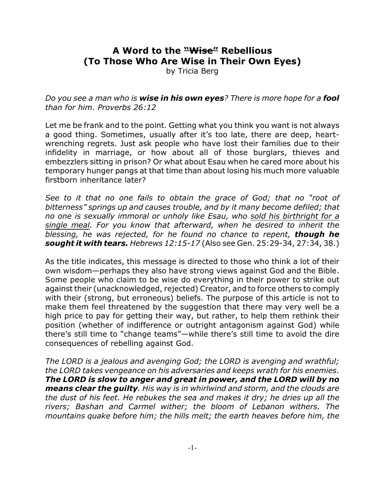## **A Word to the "Wise" Rebellious (To Those Who Are Wise in Their Own Eyes)**

by Tricia Berg

*Do you see a man who is wise in his own eyes? There is more hope for a fool than for him. Proverbs 26:12*

Let me be frank and to the point. Getting what you think you want is not always a good thing. Sometimes, usually after it's too late, there are deep, heartwrenching regrets. Just ask people who have lost their families due to their infidelity in marriage, or how about all of those burglars, thieves and embezzlers sitting in prison? Or what about Esau when he cared more about his temporary hunger pangs at that time than about losing his much more valuable firstborn inheritance later?

*See to it that no one fails to obtain the grace of God; that no "root of bitterness" springs up and causes trouble, and by it many become defiled; that no one is sexually immoral or unholy like Esau, who sold his birthright for a single meal. For you know that afterward, when he desired to inherit the blessing, he was rejected, for he found no chance to repent, though he sought it with tears. Hebrews 12:15-17* (Also see Gen. 25:29-34, 27:34, 38.)

As the title indicates, this message is directed to those who think a lot of their own wisdom—perhaps they also have strong views against God and the Bible. Some people who claim to be wise do everything in their power to strike out against their (unacknowledged, rejected) Creator, and to force others to comply with their (strong, but erroneous) beliefs. The purpose of this article is not to make them feel threatened by the suggestion that there may very well be a high price to pay for getting their way, but rather, to help them rethink their position (whether of indifference or outright antagonism against God) while there's still time to "change teams"—while there's still time to avoid the dire consequences of rebelling against God.

*The LORD is a jealous and avenging God; the LORD is avenging and wrathful; the LORD takes vengeance on his adversaries and keeps wrath for his enemies. The LORD is slow to anger and great in power, and the LORD will by no means clear the guilty. His way is in whirlwind and storm, and the clouds are the dust of his feet. He rebukes the sea and makes it dry; he dries up all the rivers; Bashan and Carmel wither; the bloom of Lebanon withers. The mountains quake before him; the hills melt; the earth heaves before him, the*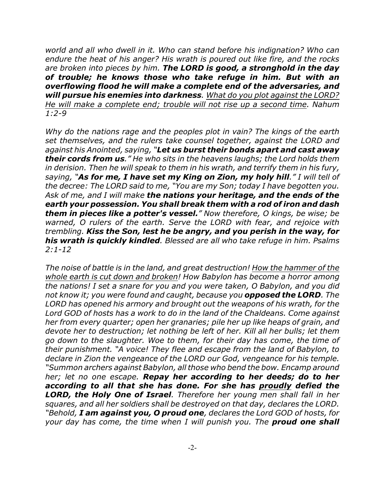*world and all who dwell in it. Who can stand before his indignation? Who can endure the heat of his anger? His wrath is poured out like fire, and the rocks are broken into pieces by him. The LORD is good, a stronghold in the day of trouble; he knows those who take refuge in him. But with an overflowing flood he will make a complete end of the adversaries, and will pursue his enemies into darkness. What do you plot against the LORD? He will make a complete end; trouble will not rise up a second time. Nahum 1:2-9*

*Why do the nations rage and the peoples plot in vain? The kings of the earth set themselves, and the rulers take counsel together, against the LORD and against his Anointed, saying, "Let us burst their bonds apart and cast away their cords from us." He who sits in the heavens laughs; the Lord holds them in derision. Then he will speak to them in his wrath, and terrify them in his fury, saying, "As for me, I have set my King on Zion, my holy hill." I will tell of the decree: The LORD said to me, "You are my Son; today I have begotten you. Ask of me, and I will make the nations your heritage, and the ends of the earth your possession. You shall break them with a rod of iron and dash them in pieces like a potter's vessel." Now therefore, O kings, be wise; be warned, O rulers of the earth. Serve the LORD with fear, and rejoice with trembling. Kiss the Son, lest he be angry, and you perish in the way, for his wrath is quickly kindled. Blessed are all who take refuge in him. Psalms 2:1-12*

*The noise of battle is in the land, and great destruction! How the hammer of the whole earth is cut down and broken! How Babylon has become a horror among the nations! I set a snare for you and you were taken, O Babylon, and you did not know it; you were found and caught, because you opposed the LORD. The LORD has opened his armory and brought out the weapons of his wrath, for the Lord GOD of hosts has a work to do in the land of the Chaldeans. Come against her from every quarter; open her granaries; pile her up like heaps of grain, and devote her to destruction; let nothing be left of her. Kill all her bulls; let them go down to the slaughter. Woe to them, for their day has come, the time of their punishment. "A voice! They flee and escape from the land of Babylon, to declare in Zion the vengeance of the LORD our God, vengeance for his temple. "Summon archers against Babylon, all those who bend the bow. Encamp around her; let no one escape. Repay her according to her deeds; do to her according to all that she has done. For she has proudly defied the LORD, the Holy One of Israel. Therefore her young men shall fall in her squares, and all her soldiers shall be destroyed on that day, declares the LORD. "Behold, I am against you, O proud one, declares the Lord GOD of hosts, for your day has come, the time when I will punish you. The proud one shall*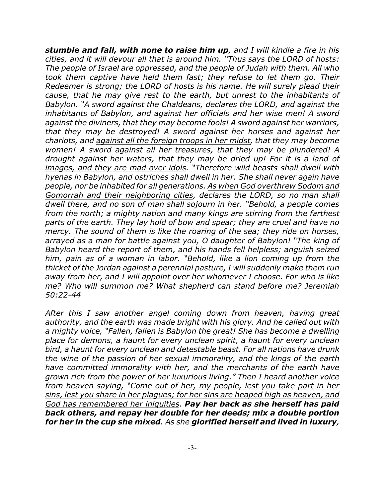*stumble and fall, with none to raise him up, and I will kindle a fire in his cities, and it will devour all that is around him. "Thus says the LORD of hosts: The people of Israel are oppressed, and the people of Judah with them. All who took them captive have held them fast; they refuse to let them go. Their Redeemer is strong; the LORD of hosts is his name. He will surely plead their cause, that he may give rest to the earth, but unrest to the inhabitants of Babylon. "A sword against the Chaldeans, declares the LORD, and against the inhabitants of Babylon, and against her officials and her wise men! A sword against the diviners, that they may become fools! A sword against her warriors, that they may be destroyed! A sword against her horses and against her chariots, and against all the foreign troops in her midst, that they may become women! A sword against all her treasures, that they may be plundered! A drought against her waters, that they may be dried up! For it is a land of images, and they are mad over idols. "Therefore wild beasts shall dwell with hyenas in Babylon, and ostriches shall dwell in her. She shall never again have people, nor be inhabited for all generations. As when God overthrew Sodom and Gomorrah and their neighboring cities, declares the LORD, so no man shall dwell there, and no son of man shall sojourn in her. "Behold, a people comes from the north; a mighty nation and many kings are stirring from the farthest parts of the earth. They lay hold of bow and spear; they are cruel and have no mercy. The sound of them is like the roaring of the sea; they ride on horses, arrayed as a man for battle against you, O daughter of Babylon! "The king of Babylon heard the report of them, and his hands fell helpless; anguish seized him, pain as of a woman in labor. "Behold, like a lion coming up from the thicket of the Jordan against a perennial pasture, I will suddenly make them run away from her, and I will appoint over her whomever I choose. For who is like me? Who will summon me? What shepherd can stand before me? Jeremiah 50:22-44*

*After this I saw another angel coming down from heaven, having great authority, and the earth was made bright with his glory. And he called out with a mighty voice, "Fallen, fallen is Babylon the great! She has become a dwelling place for demons, a haunt for every unclean spirit, a haunt for every unclean bird, a haunt for every unclean and detestable beast. For all nations have drunk the wine of the passion of her sexual immorality, and the kings of the earth have committed immorality with her, and the merchants of the earth have grown rich from the power of her luxurious living." Then I heard another voice from heaven saying, "Come out of her, my people, lest you take part in her sins, lest you share in her plagues; for her sins are heaped high as heaven, and God has remembered her iniquities. Pay her back as she herself has paid back others, and repay her double for her deeds; mix a double portion for her in the cup she mixed. As she glorified herself and lived in luxury,*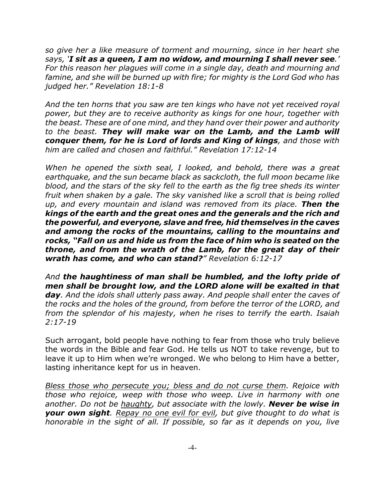*so give her a like measure of torment and mourning, since in her heart she says, 'I sit as a queen, I am no widow, and mourning I shall never see.' For this reason her plagues will come in a single day, death and mourning and* famine, and she will be burned up with fire; for mighty is the Lord God who has *judged her." Revelation 18:1-8*

*And the ten horns that you saw are ten kings who have not yet received royal power, but they are to receive authority as kings for one hour, together with the beast. These are of one mind, and they hand over their power and authority to the beast. They will make war on the Lamb, and the Lamb will conquer them, for he is Lord of lords and King of kings, and those with him are called and chosen and faithful." Revelation 17:12-14*

*When he opened the sixth seal, I looked, and behold, there was a great earthquake, and the sun became black as sackcloth, the full moon became like blood, and the stars of the sky fell to the earth as the fig tree sheds its winter fruit when shaken by a gale. The sky vanished like a scroll that is being rolled up, and every mountain and island was removed from its place. Then the kings of the earth and the great ones and the generals and the rich and the powerful, and everyone, slave and free, hid themselves in the caves and among the rocks of the mountains, calling to the mountains and rocks, "Fall on us and hide us from the face of him who is seated on the throne, and from the wrath of the Lamb, for the great day of their wrath has come, and who can stand?" Revelation 6:12-17*

*And the haughtiness of man shall be humbled, and the lofty pride of men shall be brought low, and the LORD alone will be exalted in that day. And the idols shall utterly pass away. And people shall enter the caves of the rocks and the holes of the ground, from before the terror of the LORD, and from the splendor of his majesty, when he rises to terrify the earth. Isaiah 2:17-19*

Such arrogant, bold people have nothing to fear from those who truly believe the words in the Bible and fear God. He tells us NOT to take revenge, but to leave it up to Him when we're wronged. We who belong to Him have a better, lasting inheritance kept for us in heaven.

*Bless those who persecute you; bless and do not curse them. Rejoice with those who rejoice, weep with those who weep. Live in harmony with one another. Do not be haughty, but associate with the lowly. Never be wise in your own sight. Repay no one evil for evil, but give thought to do what is honorable in the sight of all. If possible, so far as it depends on you, live*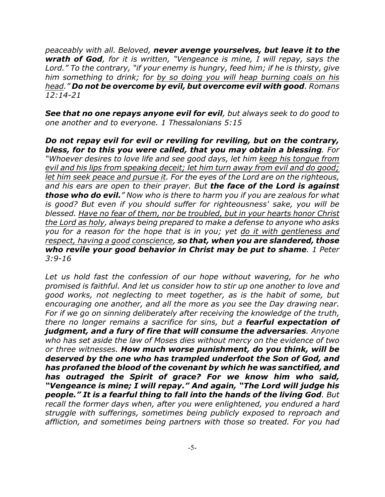*peaceably with all. Beloved, never avenge yourselves, but leave it to the wrath of God, for it is written, "Vengeance is mine, I will repay, says the Lord." To the contrary, "if your enemy is hungry, feed him; if he is thirsty, give him something to drink; for by so doing you will heap burning coals on his head." Do not be overcome by evil, but overcome evil with good. Romans 12:14-21*

*See that no one repays anyone evil for evil, but always seek to do good to one another and to everyone. 1 Thessalonians 5:15*

*Do not repay evil for evil or reviling for reviling, but on the contrary, bless, for to this you were called, that you may obtain a blessing. For "Whoever desires to love life and see good days, let him keep his tongue from evil and his lips from speaking deceit; let him turn away from evil and do good; let him seek peace and pursue it. For the eyes of the Lord are on the righteous, and his ears are open to their prayer. But the face of the Lord is against those who do evil." Now who is there to harm you if you are zealous for what is good? But even if you should suffer for righteousness' sake, you will be blessed. Have no fear of them, nor be troubled, but in your hearts honor Christ the Lord as holy, always being prepared to make a defense to anyone who asks you for a reason for the hope that is in you; yet do it with gentleness and respect, having a good conscience, so that, when you are slandered, those who revile your good behavior in Christ may be put to shame. 1 Peter 3:9-16*

*Let us hold fast the confession of our hope without wavering, for he who promised is faithful. And let us consider how to stir up one another to love and good works, not neglecting to meet together, as is the habit of some, but encouraging one another, and all the more as you see the Day drawing near. For if we go on sinning deliberately after receiving the knowledge of the truth, there no longer remains a sacrifice for sins, but a fearful expectation of judgment, and a fury of fire that will consume the adversaries. Anyone who has set aside the law of Moses dies without mercy on the evidence of two or three witnesses. How much worse punishment, do you think, will be deserved by the one who has trampled underfoot the Son of God, and has profaned the blood of the covenant by which he was sanctified, and has outraged the Spirit of grace? For we know him who said, "Vengeance is mine; I will repay." And again, "The Lord will judge his people." It is a fearful thing to fall into the hands of the living God. But recall the former days when, after you were enlightened, you endured a hard struggle with sufferings, sometimes being publicly exposed to reproach and affliction, and sometimes being partners with those so treated. For you had*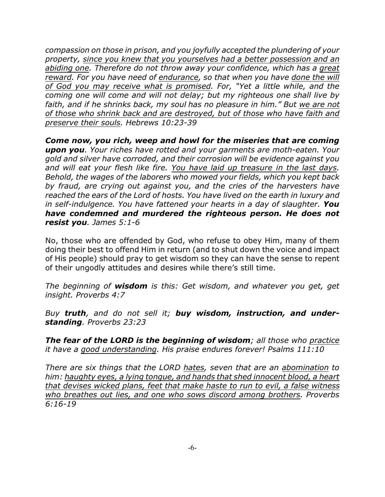*compassion on those in prison, and you joyfully accepted the plundering of your property, since you knew that you yourselves had a better possession and an abiding one. Therefore do not throw away your confidence, which has a great reward. For you have need of endurance, so that when you have done the will of God you may receive what is promised. For, "Yet a little while, and the coming one will come and will not delay; but my righteous one shall live by faith, and if he shrinks back, my soul has no pleasure in him." But we are not of those who shrink back and are destroyed, but of those who have faith and preserve their souls. Hebrews 10:23-39*

*Come now, you rich, weep and howl for the miseries that are coming upon you. Your riches have rotted and your garments are moth-eaten. Your gold and silver have corroded, and their corrosion will be evidence against you and will eat your flesh like fire. You have laid up treasure in the last days. Behold, the wages of the laborers who mowed your fields, which you kept back by fraud, are crying out against you, and the cries of the harvesters have reached the ears of the Lord of hosts. You have lived on the earth in luxury and in self-indulgence. You have fattened your hearts in a day of slaughter. You have condemned and murdered the righteous person. He does not resist you. James 5:1-6*

No, those who are offended by God, who refuse to obey Him, many of them doing their best to offend Him in return (and to shut down the voice and impact of His people) should pray to get wisdom so they can have the sense to repent of their ungodly attitudes and desires while there's still time.

*The beginning of wisdom is this: Get wisdom, and whatever you get, get insight. Proverbs 4:7*

*Buy truth, and do not sell it; buy wisdom, instruction, and understanding. Proverbs 23:23*

*The fear of the LORD is the beginning of wisdom; all those who practice it have a good understanding. His praise endures forever! Psalms 111:10*

*There are six things that the LORD hates, seven that are an abomination to him: haughty eyes, a lying tongue, and hands that shed innocent blood, a heart that devises wicked plans, feet that make haste to run to evil, a false witness who breathes out lies, and one who sows discord among brothers. Proverbs 6:16-19*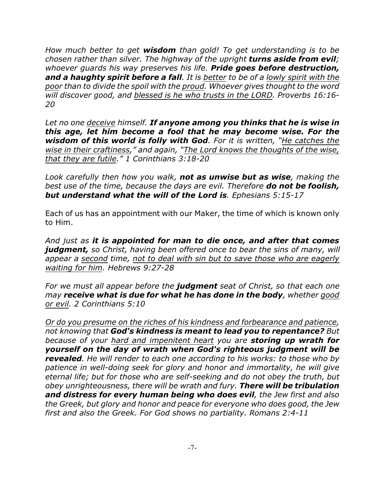*How much better to get wisdom than gold! To get understanding is to be chosen rather than silver. The highway of the upright turns aside from evil; whoever guards his way preserves his life. Pride goes before destruction, and a haughty spirit before a fall. It is better to be of a lowly spirit with the poor than to divide the spoil with the proud. Whoever gives thought to the word will discover good, and blessed is he who trusts in the LORD. Proverbs 16:16- 20*

*Let no one deceive himself. If anyone among you thinks that he is wise in this age, let him become a fool that he may become wise. For the wisdom of this world is folly with God. For it is written, "He catches the wise in their craftiness," and again, "The Lord knows the thoughts of the wise, that they are futile." 1 Corinthians 3:18-20*

*Look carefully then how you walk, not as unwise but as wise, making the best use of the time, because the days are evil. Therefore do not be foolish, but understand what the will of the Lord is. Ephesians 5:15-17*

Each of us has an appointment with our Maker, the time of which is known only to Him.

*And just as it is appointed for man to die once, and after that comes judgment, so Christ, having been offered once to bear the sins of many, will appear a second time, not to deal with sin but to save those who are eagerly waiting for him. Hebrews 9:27-28*

*For we must all appear before the judgment seat of Christ, so that each one may receive what is due for what he has done in the body, whether good or evil. 2 Corinthians 5:10*

*Or do you presume on the riches of his kindness and forbearance and patience, not knowing that God's kindness is meant to lead you to repentance? But because of your hard and impenitent heart you are storing up wrath for yourself on the day of wrath when God's righteous judgment will be revealed. He will render to each one according to his works: to those who by patience in well-doing seek for glory and honor and immortality, he will give eternal life; but for those who are self-seeking and do not obey the truth, but obey unrighteousness, there will be wrath and fury. There will be tribulation and distress for every human being who does evil, the Jew first and also the Greek, but glory and honor and peace for everyone who does good, the Jew first and also the Greek. For God shows no partiality. Romans 2:4-11*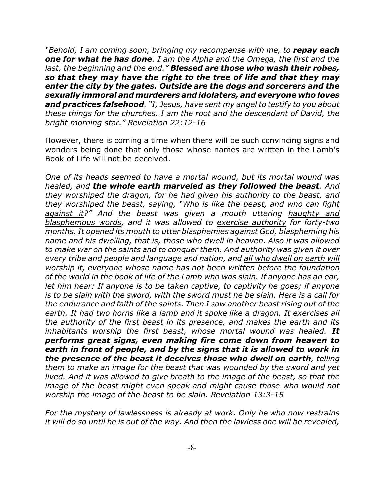*"Behold, I am coming soon, bringing my recompense with me, to repay each one for what he has done. I am the Alpha and the Omega, the first and the last, the beginning and the end." Blessed are those who wash their robes, so that they may have the right to the tree of life and that they may enter the city by the gates. Outside are the dogs and sorcerers and the sexually immoral and murderers and idolaters, and everyone who loves and practices falsehood. "I, Jesus, have sent my angel to testify to you about these things for the churches. I am the root and the descendant of David, the bright morning star." Revelation 22:12-16*

However, there is coming a time when there will be such convincing signs and wonders being done that only those whose names are written in the Lamb's Book of Life will not be deceived.

*One of its heads seemed to have a mortal wound, but its mortal wound was healed, and the whole earth marveled as they followed the beast. And they worshiped the dragon, for he had given his authority to the beast, and they worshiped the beast, saying, "Who is like the beast, and who can fight against it?" And the beast was given a mouth uttering haughty and blasphemous words, and it was allowed to exercise authority for forty-two months. It opened its mouth to utter blasphemies against God, blaspheming his name and his dwelling, that is, those who dwell in heaven. Also it was allowed to make war on the saints and to conquer them. And authority was given it over every tribe and people and language and nation, and all who dwell on earth will worship it, everyone whose name has not been written before the foundation of the world in the book of life of the Lamb who was slain. If anyone has an ear, let him hear: If anyone is to be taken captive, to captivity he goes; if anyone is to be slain with the sword, with the sword must he be slain. Here is a call for the endurance and faith of the saints. Then I saw another beast rising out of the earth. It had two horns like a lamb and it spoke like a dragon. It exercises all the authority of the first beast in its presence, and makes the earth and its inhabitants worship the first beast, whose mortal wound was healed. It performs great signs, even making fire come down from heaven to earth in front of people, and by the signs that it is allowed to work in the presence of the beast it deceives those who dwell on earth, telling them to make an image for the beast that was wounded by the sword and yet lived. And it was allowed to give breath to the image of the beast, so that the image of the beast might even speak and might cause those who would not worship the image of the beast to be slain. Revelation 13:3-15*

*For the mystery of lawlessness is already at work. Only he who now restrains it will do so until he is out of the way. And then the lawless one will be revealed,*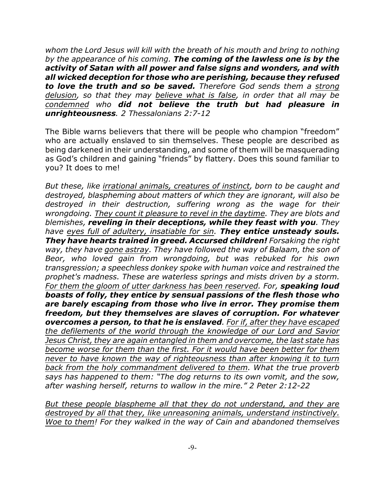*whom the Lord Jesus will kill with the breath of his mouth and bring to nothing by the appearance of his coming. The coming of the lawless one is by the activity of Satan with all power and false signs and wonders, and with all wicked deception for those who are perishing, because they refused to love the truth and so be saved. Therefore God sends them a strong delusion, so that they may believe what is false, in order that all may be condemned who did not believe the truth but had pleasure in unrighteousness. 2 Thessalonians 2:7-12*

The Bible warns believers that there will be people who champion "freedom" who are actually enslaved to sin themselves. These people are described as being darkened in their understanding, and some of them will be masquerading as God's children and gaining "friends" by flattery. Does this sound familiar to you? It does to me!

*But these, like irrational animals, creatures of instinct, born to be caught and destroyed, blaspheming about matters of which they are ignorant, will also be destroyed in their destruction, suffering wrong as the wage for their wrongdoing. They count it pleasure to revel in the daytime. They are blots and blemishes, reveling in their deceptions, while they feast with you. They have eyes full of adultery, insatiable for sin. They entice unsteady souls. They have hearts trained in greed. Accursed children! Forsaking the right way, they have gone astray. They have followed the way of Balaam, the son of Beor, who loved gain from wrongdoing, but was rebuked for his own transgression; a speechless donkey spoke with human voice and restrained the prophet's madness. These are waterless springs and mists driven by a storm. For them the gloom of utter darkness has been reserved. For, speaking loud boasts of folly, they entice by sensual passions of the flesh those who are barely escaping from those who live in error. They promise them freedom, but they themselves are slaves of corruption. For whatever overcomes a person, to that he is enslaved. For if, after they have escaped the defilements of the world through the knowledge of our Lord and Savior Jesus Christ, they are again entangled in them and overcome, the last state has become worse for them than the first. For it would have been better for them never to have known the way of righteousness than after knowing it to turn back from the holy commandment delivered to them. What the true proverb says has happened to them: "The dog returns to its own vomit, and the sow, after washing herself, returns to wallow in the mire." 2 Peter 2:12-22*

*But these people blaspheme all that they do not understand, and they are destroyed by all that they, like unreasoning animals, understand instinctively. Woe to them! For they walked in the way of Cain and abandoned themselves*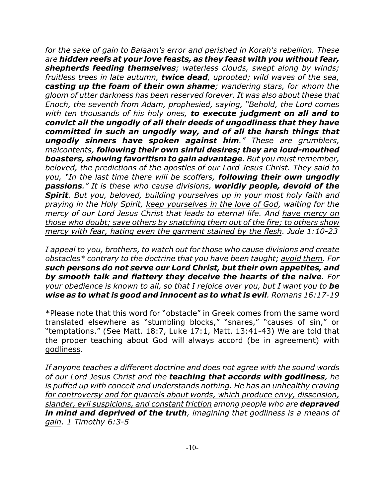*for the sake of gain to Balaam's error and perished in Korah's rebellion. These are hidden reefs at your love feasts, as they feast with you without fear, shepherds feeding themselves; waterless clouds, swept along by winds; fruitless trees in late autumn, twice dead, uprooted; wild waves of the sea, casting up the foam of their own shame; wandering stars, for whom the gloom of utter darkness has been reserved forever. It was also about these that Enoch, the seventh from Adam, prophesied, saying, "Behold, the Lord comes with ten thousands of his holy ones, to execute judgment on all and to convict all the ungodly of all their deeds of ungodliness that they have committed in such an ungodly way, and of all the harsh things that ungodly sinners have spoken against him." These are grumblers, malcontents, following their own sinful desires; they are loud-mouthed boasters, showing favoritism to gain advantage. But you must remember, beloved, the predictions of the apostles of our Lord Jesus Christ. They said to you, "In the last time there will be scoffers, following their own ungodly passions." It is these who cause divisions, worldly people, devoid of the Spirit. But you, beloved, building yourselves up in your most holy faith and praying in the Holy Spirit, keep yourselves in the love of God, waiting for the mercy of our Lord Jesus Christ that leads to eternal life. And have mercy on those who doubt; save others by snatching them out of the fire; to others show mercy with fear, hating even the garment stained by the flesh. Jude 1:10-23*

*I appeal to you, brothers, to watch out for those who cause divisions and create obstacles\* contrary to the doctrine that you have been taught; avoid them. For such persons do not serve our Lord Christ, but their own appetites, and by smooth talk and flattery they deceive the hearts of the naive. For your obedience is known to all, so that I rejoice over you, but I want you to be wise as to what is good and innocent as to what is evil. Romans 16:17-19*

\*Please note that this word for "obstacle" in Greek comes from the same word translated elsewhere as "stumbling blocks," "snares," "causes of sin," or "temptations." (See Matt. 18:7, Luke 17:1, Matt. 13:41-43) We are told that the proper teaching about God will always accord (be in agreement) with godliness.

*If anyone teaches a different doctrine and does not agree with the sound words of our Lord Jesus Christ and the teaching that accords with godliness, he is puffed up with conceit and understands nothing. He has an unhealthy craving for controversy and for quarrels about words, which produce envy, dissension, slander, evil suspicions, and constant friction among people who are depraved in mind and deprived of the truth, imagining that godliness is a means of gain. 1 Timothy 6:3-5*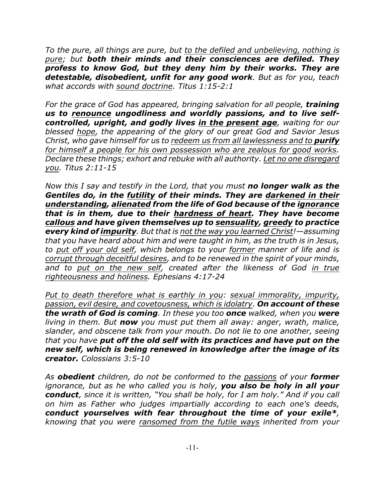*To the pure, all things are pure, but to the defiled and unbelieving, nothing is pure; but both their minds and their consciences are defiled. They profess to know God, but they deny him by their works. They are detestable, disobedient, unfit for any good work. But as for you, teach what accords with sound doctrine. Titus 1:15-2:1*

*For the grace of God has appeared, bringing salvation for all people, training us to renounce ungodliness and worldly passions, and to live selfcontrolled, upright, and godly lives in the present age, waiting for our blessed hope, the appearing of the glory of our great God and Savior Jesus Christ, who gave himself for us to redeem us from all lawlessness and to purify for himself a people for his own possession who are zealous for good works. Declare these things; exhort and rebuke with all authority. Let no one disregard you. Titus 2:11-15*

*Now this I say and testify in the Lord, that you must no longer walk as the Gentiles do, in the futility of their minds. They are darkened in their understanding, alienated from the life of God because of the ignorance that is in them, due to their hardness of heart. They have become callous and have given themselves up to sensuality, greedy to practice every kind of impurity. But that is not the way you learned Christ!—assuming that you have heard about him and were taught in him, as the truth is in Jesus, to put off your old self, which belongs to your former manner of life and is corrupt through deceitful desires, and to be renewed in the spirit of your minds, and to put on the new self, created after the likeness of God in true righteousness and holiness. Ephesians 4:17-24*

*Put to death therefore what is earthly in you: sexual immorality, impurity, passion, evil desire, and covetousness, which is idolatry. On account of these the wrath of God is coming. In these you too once walked, when you were living in them. But now you must put them all away: anger, wrath, malice, slander, and obscene talk from your mouth. Do not lie to one another, seeing that you have put off the old self with its practices and have put on the new self, which is being renewed in knowledge after the image of its creator. Colossians 3:5-10*

*As obedient children, do not be conformed to the passions of your former ignorance, but as he who called you is holy, you also be holy in all your conduct, since it is written, "You shall be holy, for I am holy." And if you call on him as Father who judges impartially according to each one's deeds, conduct yourselves with fear throughout the time of your exile\*, knowing that you were ransomed from the futile ways inherited from your*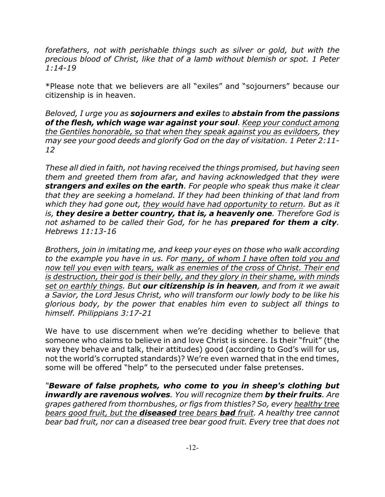*forefathers, not with perishable things such as silver or gold, but with the precious blood of Christ, like that of a lamb without blemish or spot. 1 Peter 1:14-19* 

\*Please note that we believers are all "exiles" and "sojourners" because our citizenship is in heaven.

*Beloved, I urge you as sojourners and exiles to abstain from the passions of the flesh, which wage war against your soul. Keep your conduct among the Gentiles honorable, so that when they speak against you as evildoers, they may see your good deeds and glorify God on the day of visitation. 1 Peter 2:11- 12*

*These all died in faith, not having received the things promised, but having seen them and greeted them from afar, and having acknowledged that they were strangers and exiles on the earth. For people who speak thus make it clear that they are seeking a homeland. If they had been thinking of that land from which they had gone out, they would have had opportunity to return. But as it is, they desire a better country, that is, a heavenly one. Therefore God is not ashamed to be called their God, for he has prepared for them a city. Hebrews 11:13-16*

*Brothers, join in imitating me, and keep your eyes on those who walk according to the example you have in us. For many, of whom I have often told you and now tell you even with tears, walk as enemies of the cross of Christ. Their end is destruction, their god is their belly, and they glory in their shame, with minds set on earthly things. But our citizenship is in heaven, and from it we await a Savior, the Lord Jesus Christ, who will transform our lowly body to be like his glorious body, by the power that enables him even to subject all things to himself. Philippians 3:17-21*

We have to use discernment when we're deciding whether to believe that someone who claims to believe in and love Christ is sincere. Is their "fruit" (the way they behave and talk, their attitudes) good (according to God's will for us, not the world's corrupted standards)? We're even warned that in the end times, some will be offered "help" to the persecuted under false pretenses.

*"Beware of false prophets, who come to you in sheep's clothing but inwardly are ravenous wolves. You will recognize them by their fruits. Are grapes gathered from thornbushes, or figs from thistles? So, every healthy tree bears good fruit, but the diseased tree bears bad fruit. A healthy tree cannot bear bad fruit, nor can a diseased tree bear good fruit. Every tree that does not*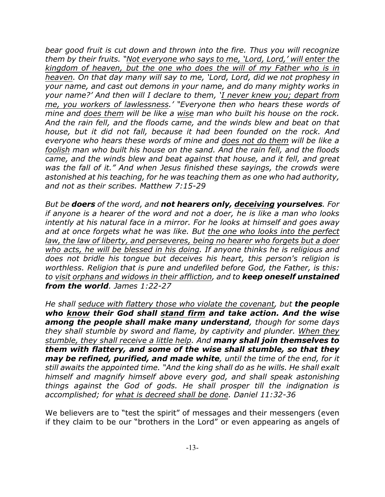*bear good fruit is cut down and thrown into the fire. Thus you will recognize them by their fruits. "Not everyone who says to me, 'Lord, Lord,' will enter the kingdom of heaven, but the one who does the will of my Father who is in heaven. On that day many will say to me, 'Lord, Lord, did we not prophesy in your name, and cast out demons in your name, and do many mighty works in your name?' And then will I declare to them, 'I never knew you; depart from me, you workers of lawlessness.' "Everyone then who hears these words of mine and does them will be like a wise man who built his house on the rock. And the rain fell, and the floods came, and the winds blew and beat on that house, but it did not fall, because it had been founded on the rock. And everyone who hears these words of mine and does not do them will be like a foolish man who built his house on the sand. And the rain fell, and the floods came, and the winds blew and beat against that house, and it fell, and great was the fall of it." And when Jesus finished these sayings, the crowds were astonished at his teaching, for he was teaching them as one who had authority, and not as their scribes. Matthew 7:15-29*

*But be doers of the word, and not hearers only, deceiving yourselves. For if anyone is a hearer of the word and not a doer, he is like a man who looks intently at his natural face in a mirror. For he looks at himself and goes away and at once forgets what he was like. But the one who looks into the perfect law, the law of liberty, and perseveres, being no hearer who forgets but a doer who acts, he will be blessed in his doing. If anyone thinks he is religious and does not bridle his tongue but deceives his heart, this person's religion is worthless. Religion that is pure and undefiled before God, the Father, is this: to visit orphans and widows in their affliction, and to keep oneself unstained from the world. James 1:22-27*

*He shall seduce with flattery those who violate the covenant, but the people who know their God shall stand firm and take action. And the wise among the people shall make many understand, though for some days they shall stumble by sword and flame, by captivity and plunder. When they stumble, they shall receive a little help. And many shall join themselves to them with flattery, and some of the wise shall stumble, so that they may be refined, purified, and made white, until the time of the end, for it still awaits the appointed time. "And the king shall do as he wills. He shall exalt himself and magnify himself above every god, and shall speak astonishing things against the God of gods. He shall prosper till the indignation is accomplished; for what is decreed shall be done. Daniel 11:32-36*

We believers are to "test the spirit" of messages and their messengers (even if they claim to be our "brothers in the Lord" or even appearing as angels of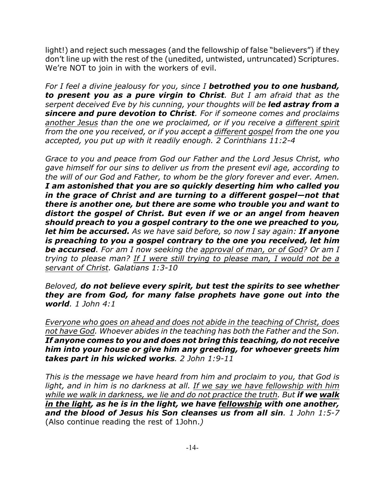light!) and reject such messages (and the fellowship of false "believers") if they don't line up with the rest of the (unedited, untwisted, untruncated) Scriptures. We're NOT to join in with the workers of evil.

*For I feel a divine jealousy for you, since I betrothed you to one husband, to present you as a pure virgin to Christ. But I am afraid that as the serpent deceived Eve by his cunning, your thoughts will be led astray from a sincere and pure devotion to Christ. For if someone comes and proclaims another Jesus than the one we proclaimed, or if you receive a different spirit from the one you received, or if you accept a different gospel from the one you accepted, you put up with it readily enough. 2 Corinthians 11:2-4*

*Grace to you and peace from God our Father and the Lord Jesus Christ, who gave himself for our sins to deliver us from the present evil age, according to the will of our God and Father, to whom be the glory forever and ever. Amen. I am astonished that you are so quickly deserting him who called you in the grace of Christ and are turning to a different gospel—not that there is another one, but there are some who trouble you and want to distort the gospel of Christ. But even if we or an angel from heaven should preach to you a gospel contrary to the one we preached to you, let him be accursed. As we have said before, so now I say again: If anyone is preaching to you a gospel contrary to the one you received, let him be accursed. For am I now seeking the approval of man, or of God? Or am I trying to please man? If I were still trying to please man, I would not be a servant of Christ. Galatians 1:3-10*

*Beloved, do not believe every spirit, but test the spirits to see whether they are from God, for many false prophets have gone out into the world. 1 John 4:1*

*Everyone who goes on ahead and does not abide in the teaching of Christ, does not have God. Whoever abides in the teaching has both the Father and the Son. If anyone comes to you and does not bring this teaching, do not receive him into your house or give him any greeting, for whoever greets him takes part in his wicked works. 2 John 1:9-11*

*This is the message we have heard from him and proclaim to you, that God is light, and in him is no darkness at all. If we say we have fellowship with him while we walk in darkness, we lie and do not practice the truth. But if we walk in the light, as he is in the light, we have fellowship with one another, and the blood of Jesus his Son cleanses us from all sin. 1 John 1:5-7* (Also continue reading the rest of 1John.*)*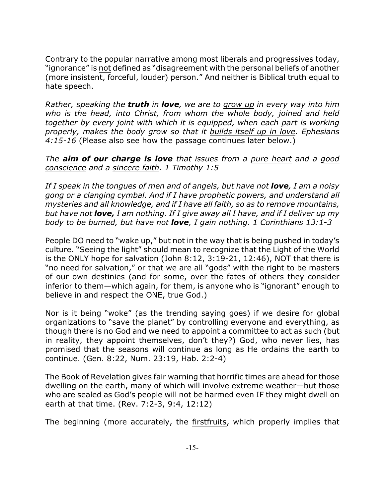Contrary to the popular narrative among most liberals and progressives today, "ignorance" is not defined as "disagreement with the personal beliefs of another (more insistent, forceful, louder) person." And neither is Biblical truth equal to hate speech.

*Rather, speaking the truth in love, we are to grow up in every way into him who is the head, into Christ, from whom the whole body, joined and held together by every joint with which it is equipped, when each part is working properly, makes the body grow so that it builds itself up in love. Ephesians 4:15-16* (Please also see how the passage continues later below.)

*The aim of our charge is love that issues from a pure heart and a good conscience and a sincere faith. 1 Timothy 1:5*

*If I speak in the tongues of men and of angels, but have not love, I am a noisy gong or a clanging cymbal. And if I have prophetic powers, and understand all mysteries and all knowledge, and if I have all faith, so as to remove mountains, but have not love, I am nothing. If I give away all I have, and if I deliver up my body to be burned, but have not love, I gain nothing. 1 Corinthians 13:1-3*

People DO need to "wake up," but not in the way that is being pushed in today's culture. "Seeing the light" should mean to recognize that the Light of the World is the ONLY hope for salvation (John 8:12, 3:19-21, 12:46), NOT that there is "no need for salvation," or that we are all "gods" with the right to be masters of our own destinies (and for some, over the fates of others they consider inferior to them—which again, for them, is anyone who is "ignorant" enough to believe in and respect the ONE, true God.)

Nor is it being "woke" (as the trending saying goes) if we desire for global organizations to "save the planet" by controlling everyone and everything, as though there is no God and we need to appoint a committee to act as such (but in reality, they appoint themselves, don't they?) God, who never lies, has promised that the seasons will continue as long as He ordains the earth to continue. (Gen. 8:22, Num. 23:19, Hab. 2:2-4)

The Book of Revelation gives fair warning that horrific times are ahead for those dwelling on the earth, many of which will involve extreme weather—but those who are sealed as God's people will not be harmed even IF they might dwell on earth at that time. (Rev. 7:2-3, 9:4, 12:12)

The beginning (more accurately, the firstfruits, which properly implies that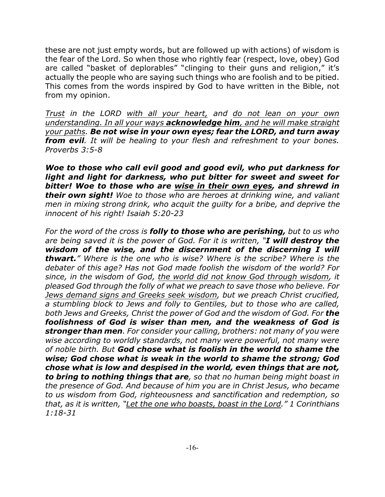these are not just empty words, but are followed up with actions) of wisdom is the fear of the Lord. So when those who rightly fear (respect, love, obey) God are called "basket of deplorables" "clinging to their guns and religion," it's actually the people who are saying such things who are foolish and to be pitied. This comes from the words inspired by God to have written in the Bible, not from my opinion.

*Trust in the LORD with all your heart, and do not lean on your own understanding. In all your ways acknowledge him, and he will make straight your paths. Be not wise in your own eyes; fear the LORD, and turn away from evil. It will be healing to your flesh and refreshment to your bones. Proverbs 3:5-8*

*Woe to those who call evil good and good evil, who put darkness for light and light for darkness, who put bitter for sweet and sweet for bitter! Woe to those who are wise in their own eyes, and shrewd in their own sight! Woe to those who are heroes at drinking wine, and valiant men in mixing strong drink, who acquit the guilty for a bribe, and deprive the innocent of his right! Isaiah 5:20-23*

*For the word of the cross is folly to those who are perishing, but to us who are being saved it is the power of God. For it is written, "I will destroy the wisdom of the wise, and the discernment of the discerning I will thwart." Where is the one who is wise? Where is the scribe? Where is the debater of this age? Has not God made foolish the wisdom of the world? For since, in the wisdom of God, the world did not know God through wisdom, it pleased God through the folly of what we preach to save those who believe. For Jews demand signs and Greeks seek wisdom, but we preach Christ crucified, a stumbling block to Jews and folly to Gentiles, but to those who are called, both Jews and Greeks, Christ the power of God and the wisdom of God. For the foolishness of God is wiser than men, and the weakness of God is stronger than men. For consider your calling, brothers: not many of you were wise according to worldly standards, not many were powerful, not many were of noble birth. But God chose what is foolish in the world to shame the wise; God chose what is weak in the world to shame the strong; God chose what is low and despised in the world, even things that are not, to bring to nothing things that are, so that no human being might boast in the presence of God. And because of him you are in Christ Jesus, who became to us wisdom from God, righteousness and sanctification and redemption, so that, as it is written, "Let the one who boasts, boast in the Lord." 1 Corinthians 1:18-31*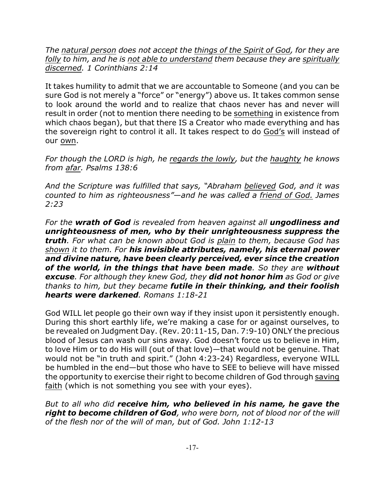*The natural person does not accept the things of the Spirit of God, for they are folly to him, and he is not able to understand them because they are spiritually discerned. 1 Corinthians 2:14*

It takes humility to admit that we are accountable to Someone (and you can be sure God is not merely a "force" or "energy") above us. It takes common sense to look around the world and to realize that chaos never has and never will result in order (not to mention there needing to be something in existence from which chaos began), but that there IS a Creator who made everything and has the sovereign right to control it all. It takes respect to do God's will instead of our own.

*For though the LORD is high, he regards the lowly, but the haughty he knows from afar. Psalms 138:6*

*And the Scripture was fulfilled that says, "Abraham believed God, and it was counted to him as righteousness"—and he was called a friend of God. James 2:23*

*For the wrath of God is revealed from heaven against all ungodliness and unrighteousness of men, who by their unrighteousness suppress the truth. For what can be known about God is plain to them, because God has shown it to them. For his invisible attributes, namely, his eternal power and divine nature, have been clearly perceived, ever since the creation of the world, in the things that have been made. So they are without excuse. For although they knew God, they did not honor him as God or give thanks to him, but they became futile in their thinking, and their foolish hearts were darkened. Romans 1:18-21*

God WILL let people go their own way if they insist upon it persistently enough. During this short earthly life, we're making a case for or against ourselves, to be revealed on Judgment Day. (Rev. 20:11-15, Dan. 7:9-10) ONLY the precious blood of Jesus can wash our sins away. God doesn't force us to believe in Him, to love Him or to do His will (out of that love)—that would not be genuine. That would not be "in truth and spirit." (John 4:23-24) Regardless, everyone WILL be humbled in the end—but those who have to SEE to believe will have missed the opportunity to exercise their right to become children of God through saving faith (which is not something you see with your eyes).

*But to all who did receive him, who believed in his name, he gave the right to become children of God, who were born, not of blood nor of the will of the flesh nor of the will of man, but of God. John 1:12-13*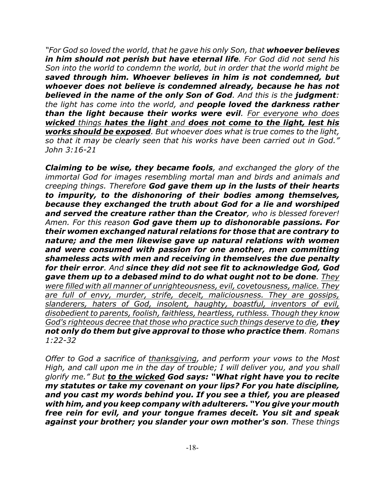*"For God so loved the world, that he gave his only Son, that whoever believes in him should not perish but have eternal life. For God did not send his Son into the world to condemn the world, but in order that the world might be saved through him. Whoever believes in him is not condemned, but whoever does not believe is condemned already, because he has not believed in the name of the only Son of God. And this is the judgment: the light has come into the world, and people loved the darkness rather than the light because their works were evil. For everyone who does wicked things hates the light and does not come to the light, lest his works should be exposed. But whoever does what is true comes to the light, so that it may be clearly seen that his works have been carried out in God." John 3:16-21*

*Claiming to be wise, they became fools, and exchanged the glory of the immortal God for images resembling mortal man and birds and animals and creeping things. Therefore God gave them up in the lusts of their hearts to impurity, to the dishonoring of their bodies among themselves, because they exchanged the truth about God for a lie and worshiped and served the creature rather than the Creator, who is blessed forever! Amen. For this reason God gave them up to dishonorable passions. For their women exchanged natural relations for those that are contrary to nature; and the men likewise gave up natural relations with women and were consumed with passion for one another, men committing shameless acts with men and receiving in themselves the due penalty for their error. And since they did not see fit to acknowledge God, God gave them up to a debased mind to do what ought not to be done. They were filled with all manner of unrighteousness, evil, covetousness, malice. They are full of envy, murder, strife, deceit, maliciousness. They are gossips, slanderers, haters of God, insolent, haughty, boastful, inventors of evil, disobedient to parents, foolish, faithless, heartless, ruthless. Though they know God's righteous decree that those who practice such things deserve to die, they not only do them but give approval to those who practice them. Romans 1:22-32*

*Offer to God a sacrifice of thanksgiving, and perform your vows to the Most High, and call upon me in the day of trouble; I will deliver you, and you shall glorify me." But to the wicked God says: "What right have you to recite my statutes or take my covenant on your lips? For you hate discipline, and you cast my words behind you. If you see a thief, you are pleased with him, and you keep company with adulterers. "You give your mouth free rein for evil, and your tongue frames deceit. You sit and speak against your brother; you slander your own mother's son. These things*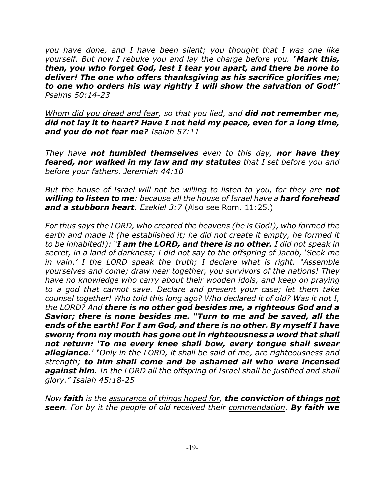*you have done, and I have been silent; you thought that I was one like yourself. But now I rebuke you and lay the charge before you. "Mark this, then, you who forget God, lest I tear you apart, and there be none to deliver! The one who offers thanksgiving as his sacrifice glorifies me; to one who orders his way rightly I will show the salvation of God!" Psalms 50:14-23*

*Whom did you dread and fear, so that you lied, and did not remember me, did not lay it to heart? Have I not held my peace, even for a long time, and you do not fear me? Isaiah 57:11*

*They have not humbled themselves even to this day, nor have they feared, nor walked in my law and my statutes that I set before you and before your fathers. Jeremiah 44:10*

*But the house of Israel will not be willing to listen to you, for they are not willing to listen to me: because all the house of Israel have a hard forehead and a stubborn heart. Ezekiel 3:7* (Also see Rom. 11:25.)

*For thus says the LORD, who created the heavens (he is God!), who formed the earth and made it (he established it; he did not create it empty, he formed it to be inhabited!): "I am the LORD, and there is no other. I did not speak in secret, in a land of darkness; I did not say to the offspring of Jacob, 'Seek me in vain.' I the LORD speak the truth; I declare what is right. "Assemble yourselves and come; draw near together, you survivors of the nations! They have no knowledge who carry about their wooden idols, and keep on praying to a god that cannot save. Declare and present your case; let them take counsel together! Who told this long ago? Who declared it of old? Was it not I, the LORD? And there is no other god besides me, a righteous God and a Savior; there is none besides me. "Turn to me and be saved, all the ends of the earth! For I am God, and there is no other. By myself I have sworn; from my mouth has gone out in righteousness a word that shall not return: 'To me every knee shall bow, every tongue shall swear allegiance.' "Only in the LORD, it shall be said of me, are righteousness and strength; to him shall come and be ashamed all who were incensed against him. In the LORD all the offspring of Israel shall be justified and shall glory." Isaiah 45:18-25*

*Now faith is the assurance of things hoped for, the conviction of things not seen. For by it the people of old received their commendation. By faith we*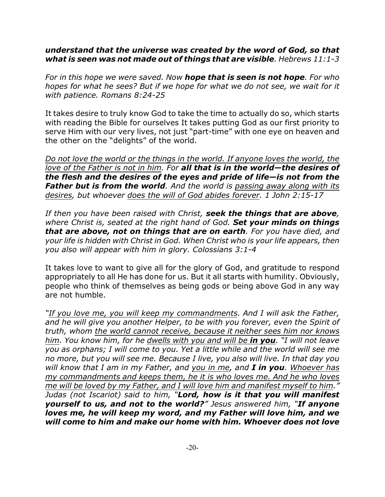## *understand that the universe was created by the word of God, so that what is seen was not made out of things that are visible. Hebrews 11:1-3*

*For in this hope we were saved. Now hope that is seen is not hope. For who hopes for what he sees? But if we hope for what we do not see, we wait for it with patience. Romans 8:24-25*

It takes desire to truly know God to take the time to actually do so, which starts with reading the Bible for ourselves It takes putting God as our first priority to serve Him with our very lives, not just "part-time" with one eye on heaven and the other on the "delights" of the world.

*Do not love the world or the things in the world. If anyone loves the world, the love of the Father is not in him. For all that is in the world—the desires of the flesh and the desires of the eyes and pride of life—is not from the Father but is from the world. And the world is passing away along with its desires, but whoever does the will of God abides forever. 1 John 2:15-17*

*If then you have been raised with Christ, seek the things that are above, where Christ is, seated at the right hand of God. Set your minds on things that are above, not on things that are on earth. For you have died, and your life is hidden with Christ in God. When Christ who is your life appears, then you also will appear with him in glory. Colossians 3:1-4*

It takes love to want to give all for the glory of God, and gratitude to respond appropriately to all He has done for us. But it all starts with humility. Obviously, people who think of themselves as being gods or being above God in any way are not humble.

*"If you love me, you will keep my commandments. And I will ask the Father, and he will give you another Helper, to be with you forever, even the Spirit of truth, whom the world cannot receive, because it neither sees him nor knows him. You know him, for he dwells with you and will be in you. "I will not leave you as orphans; I will come to you. Yet a little while and the world will see me no more, but you will see me. Because I live, you also will live. In that day you will know that I am in my Father, and you in me, and I in you. Whoever has my commandments and keeps them, he it is who loves me. And he who loves me will be loved by my Father, and I will love him and manifest myself to him." Judas (not Iscariot) said to him, "Lord, how is it that you will manifest yourself to us, and not to the world?" Jesus answered him, "If anyone loves me, he will keep my word, and my Father will love him, and we will come to him and make our home with him. Whoever does not love*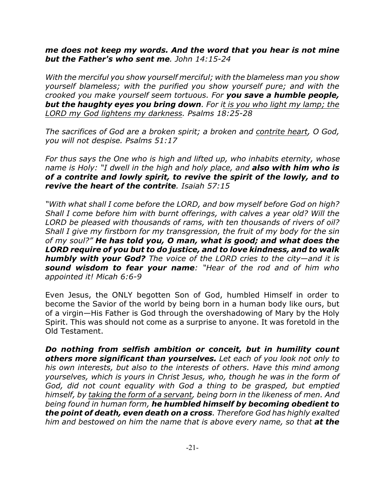*me does not keep my words. And the word that you hear is not mine but the Father's who sent me. John 14:15-24*

*With the merciful you show yourself merciful; with the blameless man you show yourself blameless; with the purified you show yourself pure; and with the crooked you make yourself seem tortuous. For you save a humble people, but the haughty eyes you bring down. For it is you who light my lamp; the LORD my God lightens my darkness. Psalms 18:25-28*

*The sacrifices of God are a broken spirit; a broken and contrite heart, O God, you will not despise. Psalms 51:17*

*For thus says the One who is high and lifted up, who inhabits eternity, whose name is Holy: "I dwell in the high and holy place, and also with him who is of a contrite and lowly spirit, to revive the spirit of the lowly, and to revive the heart of the contrite. Isaiah 57:15*

*"With what shall I come before the LORD, and bow myself before God on high? Shall I come before him with burnt offerings, with calves a year old? Will the LORD be pleased with thousands of rams, with ten thousands of rivers of oil? Shall I give my firstborn for my transgression, the fruit of my body for the sin of my soul?" He has told you, O man, what is good; and what does the LORD require of you but to do justice, and to love kindness, and to walk humbly with your God? The voice of the LORD cries to the city—and it is sound wisdom to fear your name: "Hear of the rod and of him who appointed it! Micah 6:6-9*

Even Jesus, the ONLY begotten Son of God, humbled Himself in order to become the Savior of the world by being born in a human body like ours, but of a virgin*—*His Father is God through the overshadowing of Mary by the Holy Spirit. This was should not come as a surprise to anyone. It was foretold in the Old Testament.

*Do nothing from selfish ambition or conceit, but in humility count others more significant than yourselves. Let each of you look not only to his own interests, but also to the interests of others. Have this mind among yourselves, which is yours in Christ Jesus, who, though he was in the form of God, did not count equality with God a thing to be grasped, but emptied himself, by taking the form of a servant, being born in the likeness of men. And being found in human form, he humbled himself by becoming obedient to the point of death, even death on a cross. Therefore God has highly exalted him and bestowed on him the name that is above every name, so that at the*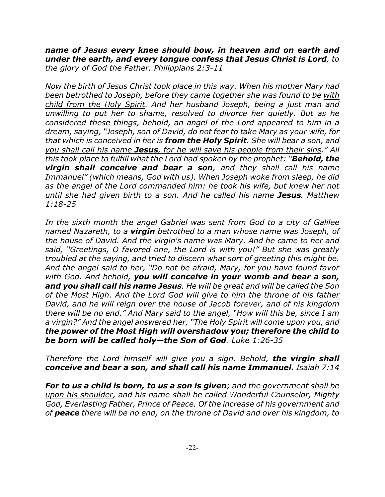*name of Jesus every knee should bow, in heaven and on earth and under the earth, and every tongue confess that Jesus Christ is Lord, to the glory of God the Father. Philippians 2:3-11*

*Now the birth of Jesus Christ took place in this way. When his mother Mary had been betrothed to Joseph, before they came together she was found to be with child from the Holy Spirit. And her husband Joseph, being a just man and unwilling to put her to shame, resolved to divorce her quietly. But as he considered these things, behold, an angel of the Lord appeared to him in a dream, saying, "Joseph, son of David, do not fear to take Mary as your wife, for that which is conceived in her is from the Holy Spirit. She will bear a son, and you shall call his name Jesus, for he will save his people from their sins." All this took place to fulfill what the Lord had spoken by the prophet: "Behold, the virgin shall conceive and bear a son, and they shall call his name Immanuel" (which means, God with us). When Joseph woke from sleep, he did as the angel of the Lord commanded him: he took his wife, but knew her not until she had given birth to a son. And he called his name Jesus. Matthew 1:18-25*

*In the sixth month the angel Gabriel was sent from God to a city of Galilee named Nazareth, to a virgin betrothed to a man whose name was Joseph, of the house of David. And the virgin's name was Mary. And he came to her and said, "Greetings, O favored one, the Lord is with you!" But she was greatly troubled at the saying, and tried to discern what sort of greeting this might be. And the angel said to her, "Do not be afraid, Mary, for you have found favor with God. And behold, you will conceive in your womb and bear a son, and you shall call his name Jesus. He will be great and will be called the Son of the Most High. And the Lord God will give to him the throne of his father David, and he will reign over the house of Jacob forever, and of his kingdom there will be no end." And Mary said to the angel, "How will this be, since I am a virgin?" And the angel answered her, "The Holy Spirit will come upon you, and the power of the Most High will overshadow you; therefore the child to be born will be called holy—the Son of God. Luke 1:26-35*

*Therefore the Lord himself will give you a sign. Behold, the virgin shall conceive and bear a son, and shall call his name Immanuel. Isaiah 7:14*

*For to us a child is born, to us a son is given; and the government shall be upon his shoulder, and his name shall be called Wonderful Counselor, Mighty God, Everlasting Father, Prince of Peace. Of the increase of his government and of peace there will be no end, on the throne of David and over his kingdom, to*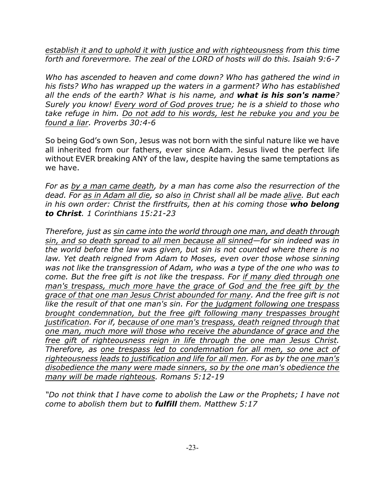*establish it and to uphold it with justice and with righteousness from this time forth and forevermore. The zeal of the LORD of hosts will do this. Isaiah 9:6-7*

*Who has ascended to heaven and come down? Who has gathered the wind in his fists? Who has wrapped up the waters in a garment? Who has established all the ends of the earth? What is his name, and what is his son's name? Surely you know! Every word of God proves true; he is a shield to those who take refuge in him. Do not add to his words, lest he rebuke you and you be found a liar. Proverbs 30:4-6*

So being God's own Son, Jesus was not born with the sinful nature like we have all inherited from our fathers, ever since Adam. Jesus lived the perfect life without EVER breaking ANY of the law, despite having the same temptations as we have.

*For as by a man came death, by a man has come also the resurrection of the dead. For as in Adam all die, so also in Christ shall all be made alive. But each in his own order: Christ the firstfruits, then at his coming those who belong to Christ. 1 Corinthians 15:21-23*

*Therefore, just as sin came into the world through one man, and death through sin, and so death spread to all men because all sinned—for sin indeed was in the world before the law was given, but sin is not counted where there is no law. Yet death reigned from Adam to Moses, even over those whose sinning was not like the transgression of Adam, who was a type of the one who was to come. But the free gift is not like the trespass. For if many died through one man's trespass, much more have the grace of God and the free gift by the grace of that one man Jesus Christ abounded for many. And the free gift is not like the result of that one man's sin. For the judgment following one trespass brought condemnation, but the free gift following many trespasses brought justification. For if, because of one man's trespass, death reigned through that one man, much more will those who receive the abundance of grace and the free gift of righteousness reign in life through the one man Jesus Christ. Therefore, as one trespass led to condemnation for all men, so one act of righteousness leads to justification and life for all men. For as by the one man's disobedience the many were made sinners, so by the one man's obedience the many will be made righteous. Romans 5:12-19*

*"Do not think that I have come to abolish the Law or the Prophets; I have not come to abolish them but to fulfill them. Matthew 5:17*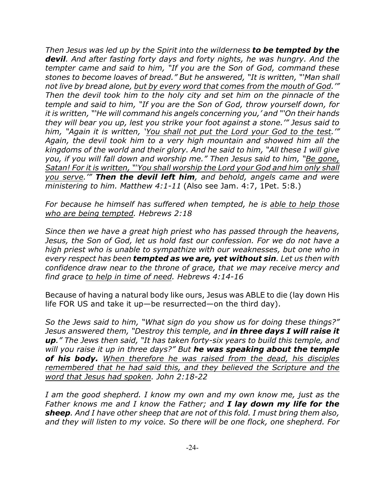*Then Jesus was led up by the Spirit into the wilderness to be tempted by the devil. And after fasting forty days and forty nights, he was hungry. And the tempter came and said to him, "If you are the Son of God, command these stones to become loaves of bread." But he answered, "It is written, "'Man shall not live by bread alone, but by every word that comes from the mouth of God.'" Then the devil took him to the holy city and set him on the pinnacle of the temple and said to him, "If you are the Son of God, throw yourself down, for it is written, "'He will command his angels concerning you,' and "'On their hands they will bear you up, lest you strike your foot against a stone.'" Jesus said to him, "Again it is written, 'You shall not put the Lord your God to the test.'" Again, the devil took him to a very high mountain and showed him all the kingdoms of the world and their glory. And he said to him, "All these I will give you, if you will fall down and worship me." Then Jesus said to him, "Be gone, Satan! For it is written, "'You shall worship the Lord your God and him only shall you serve.'" Then the devil left him, and behold, angels came and were ministering to him. Matthew 4:1-11* (Also see Jam. 4:7, 1Pet. 5:8.)

*For because he himself has suffered when tempted, he is able to help those who are being tempted. Hebrews 2:18*

*Since then we have a great high priest who has passed through the heavens, Jesus, the Son of God, let us hold fast our confession. For we do not have a high priest who is unable to sympathize with our weaknesses, but one who in every respect has been tempted as we are, yet without sin. Let us then with confidence draw near to the throne of grace, that we may receive mercy and find grace to help in time of need. Hebrews 4:14-16*

Because of having a natural body like ours, Jesus was ABLE to die (lay down His life FOR US and take it up—be resurrected—on the third day).

*So the Jews said to him, "What sign do you show us for doing these things?" Jesus answered them, "Destroy this temple, and in three days I will raise it up." The Jews then said, "It has taken forty-six years to build this temple, and will you raise it up in three days?" But he was speaking about the temple of his body. When therefore he was raised from the dead, his disciples remembered that he had said this, and they believed the Scripture and the word that Jesus had spoken. John 2:18-22*

*I am the good shepherd. I know my own and my own know me, just as the Father knows me and I know the Father; and I lay down my life for the sheep. And I have other sheep that are not of this fold. I must bring them also, and they will listen to my voice. So there will be one flock, one shepherd. For*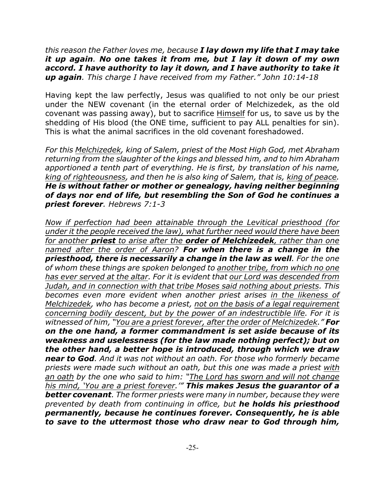*this reason the Father loves me, because I lay down my life that I may take it up again. No one takes it from me, but I lay it down of my own accord. I have authority to lay it down, and I have authority to take it up again. This charge I have received from my Father." John 10:14-18*

Having kept the law perfectly, Jesus was qualified to not only be our priest under the NEW covenant (in the eternal order of Melchizedek, as the old covenant was passing away), but to sacrifice Himself for us, to save us by the shedding of His blood (the ONE time, sufficient to pay ALL penalties for sin). This is what the animal sacrifices in the old covenant foreshadowed.

*For this Melchizedek, king of Salem, priest of the Most High God, met Abraham returning from the slaughter of the kings and blessed him, and to him Abraham apportioned a tenth part of everything. He is first, by translation of his name, king of righteousness, and then he is also king of Salem, that is, king of peace. He is without father or mother or genealogy, having neither beginning of days nor end of life, but resembling the Son of God he continues a priest forever. Hebrews 7:1-3*

*Now if perfection had been attainable through the Levitical priesthood (for under it the people received the law), what further need would there have been for another priest to arise after the order of Melchizedek, rather than one named after the order of Aaron? For when there is a change in the priesthood, there is necessarily a change in the law as well. For the one of whom these things are spoken belonged to another tribe, from which no one has ever served at the altar. For it is evident that our Lord was descended from Judah, and in connection with that tribe Moses said nothing about priests. This becomes even more evident when another priest arises in the likeness of Melchizedek, who has become a priest, not on the basis of a legal requirement concerning bodily descent, but by the power of an indestructible life. For it is witnessed of him, "You are a priest forever, after the order of Melchizedek." For on the one hand, a former commandment is set aside because of its weakness and uselessness (for the law made nothing perfect); but on the other hand, a better hope is introduced, through which we draw near to God. And it was not without an oath. For those who formerly became priests were made such without an oath, but this one was made a priest with an oath by the one who said to him: "The Lord has sworn and will not change his mind, 'You are a priest forever.'" This makes Jesus the guarantor of a better covenant. The former priests were many in number, because they were prevented by death from continuing in office, but he holds his priesthood permanently, because he continues forever. Consequently, he is able to save to the uttermost those who draw near to God through him,*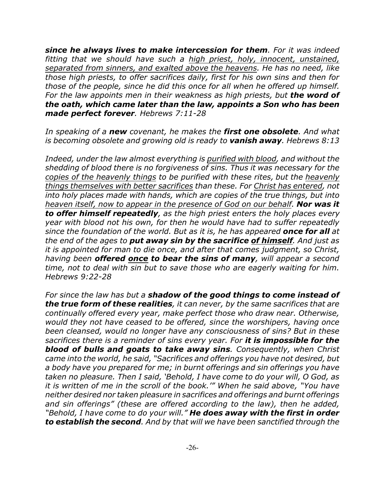*since he always lives to make intercession for them. For it was indeed fitting that we should have such a high priest, holy, innocent, unstained, separated from sinners, and exalted above the heavens. He has no need, like those high priests, to offer sacrifices daily, first for his own sins and then for those of the people, since he did this once for all when he offered up himself. For the law appoints men in their weakness as high priests, but the word of the oath, which came later than the law, appoints a Son who has been made perfect forever. Hebrews 7:11-28*

*In speaking of a new covenant, he makes the first one obsolete. And what is becoming obsolete and growing old is ready to vanish away. Hebrews 8:13*

*Indeed, under the law almost everything is purified with blood, and without the shedding of blood there is no forgiveness of sins. Thus it was necessary for the copies of the heavenly things to be purified with these rites, but the heavenly things themselves with better sacrifices than these. For Christ has entered, not into holy places made with hands, which are copies of the true things, but into heaven itself, now to appear in the presence of God on our behalf. Nor was it to offer himself repeatedly, as the high priest enters the holy places every year with blood not his own, for then he would have had to suffer repeatedly since the foundation of the world. But as it is, he has appeared once for all at the end of the ages to put away sin by the sacrifice of himself. And just as it is appointed for man to die once, and after that comes judgment, so Christ, having been offered once to bear the sins of many, will appear a second time, not to deal with sin but to save those who are eagerly waiting for him. Hebrews 9:22-28*

*For since the law has but a shadow of the good things to come instead of the true form of these realities, it can never, by the same sacrifices that are continually offered every year, make perfect those who draw near. Otherwise, would they not have ceased to be offered, since the worshipers, having once been cleansed, would no longer have any consciousness of sins? But in these sacrifices there is a reminder of sins every year. For it is impossible for the blood of bulls and goats to take away sins. Consequently, when Christ came into the world, he said, "Sacrifices and offerings you have not desired, but a body have you prepared for me; in burnt offerings and sin offerings you have taken no pleasure. Then I said, 'Behold, I have come to do your will, O God, as it is written of me in the scroll of the book.'" When he said above, "You have neither desired nor taken pleasure in sacrifices and offerings and burnt offerings and sin offerings" (these are offered according to the law), then he added, "Behold, I have come to do your will." He does away with the first in order to establish the second. And by that will we have been sanctified through the*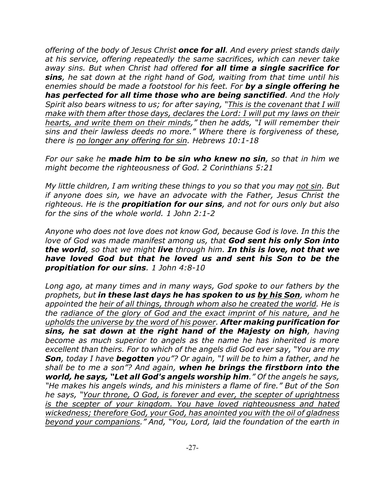*offering of the body of Jesus Christ once for all. And every priest stands daily at his service, offering repeatedly the same sacrifices, which can never take away sins. But when Christ had offered for all time a single sacrifice for sins, he sat down at the right hand of God, waiting from that time until his enemies should be made a footstool for his feet. For by a single offering he has perfected for all time those who are being sanctified. And the Holy Spirit also bears witness to us; for after saying, "This is the covenant that I will make with them after those days, declares the Lord: I will put my laws on their hearts, and write them on their minds," then he adds, "I will remember their sins and their lawless deeds no more." Where there is forgiveness of these, there is no longer any offering for sin. Hebrews 10:1-18*

*For our sake he made him to be sin who knew no sin, so that in him we might become the righteousness of God. 2 Corinthians 5:21*

*My little children, I am writing these things to you so that you may not sin. But if anyone does sin, we have an advocate with the Father, Jesus Christ the righteous. He is the propitiation for our sins, and not for ours only but also for the sins of the whole world. 1 John 2:1-2*

*Anyone who does not love does not know God, because God is love. In this the love of God was made manifest among us, that God sent his only Son into the world, so that we might live through him. In this is love, not that we have loved God but that he loved us and sent his Son to be the propitiation for our sins. 1 John 4:8-10*

*Long ago, at many times and in many ways, God spoke to our fathers by the prophets, but in these last days he has spoken to us by his Son, whom he appointed the heir of all things, through whom also he created the world. He is the radiance of the glory of God and the exact imprint of his nature, and he upholds the universe by the word of his power. After making purification for sins, he sat down at the right hand of the Majesty on high, having become as much superior to angels as the name he has inherited is more excellent than theirs. For to which of the angels did God ever say, "You are my Son, today I have begotten you"? Or again, "I will be to him a father, and he shall be to me a son"? And again, when he brings the firstborn into the world, he says, "Let all God's angels worship him." Of the angels he says, "He makes his angels winds, and his ministers a flame of fire." But of the Son he says, "Your throne, O God, is forever and ever, the scepter of uprightness is the scepter of your kingdom. You have loved righteousness and hated wickedness; therefore God, your God, has anointed you with the oil of gladness beyond your companions." And, "You, Lord, laid the foundation of the earth in*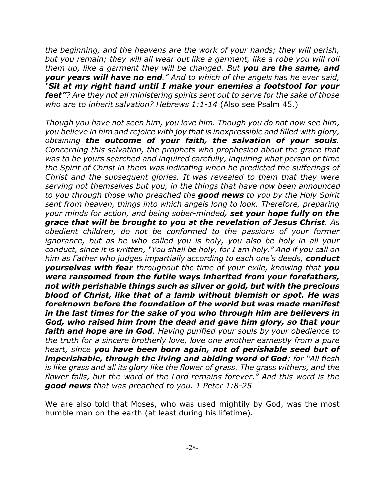*the beginning, and the heavens are the work of your hands; they will perish, but you remain; they will all wear out like a garment, like a robe you will roll them up, like a garment they will be changed. But you are the same, and your years will have no end." And to which of the angels has he ever said, "Sit at my right hand until I make your enemies a footstool for your feet"? Are they not all ministering spirits sent out to serve for the sake of those who are to inherit salvation? Hebrews 1:1-14* (Also see Psalm 45.)

*Though you have not seen him, you love him. Though you do not now see him, you believe in him and rejoice with joy that is inexpressible and filled with glory, obtaining the outcome of your faith, the salvation of your souls. Concerning this salvation, the prophets who prophesied about the grace that was to be yours searched and inquired carefully, inquiring what person or time the Spirit of Christ in them was indicating when he predicted the sufferings of Christ and the subsequent glories. It was revealed to them that they were serving not themselves but you, in the things that have now been announced to you through those who preached the good news to you by the Holy Spirit sent from heaven, things into which angels long to look. Therefore, preparing your minds for action, and being sober-minded, set your hope fully on the grace that will be brought to you at the revelation of Jesus Christ. As obedient children, do not be conformed to the passions of your former ignorance, but as he who called you is holy, you also be holy in all your conduct, since it is written, "You shall be holy, for I am holy." And if you call on him as Father who judges impartially according to each one's deeds, conduct yourselves with fear throughout the time of your exile, knowing that you were ransomed from the futile ways inherited from your forefathers, not with perishable things such as silver or gold, but with the precious blood of Christ, like that of a lamb without blemish or spot. He was foreknown before the foundation of the world but was made manifest in the last times for the sake of you who through him are believers in God, who raised him from the dead and gave him glory, so that your faith and hope are in God. Having purified your souls by your obedience to the truth for a sincere brotherly love, love one another earnestly from a pure heart, since you have been born again, not of perishable seed but of imperishable, through the living and abiding word of God; for "All flesh is like grass and all its glory like the flower of grass. The grass withers, and the flower falls, but the word of the Lord remains forever." And this word is the good news that was preached to you. 1 Peter 1:8-25*

We are also told that Moses, who was used mightily by God, was the most humble man on the earth (at least during his lifetime).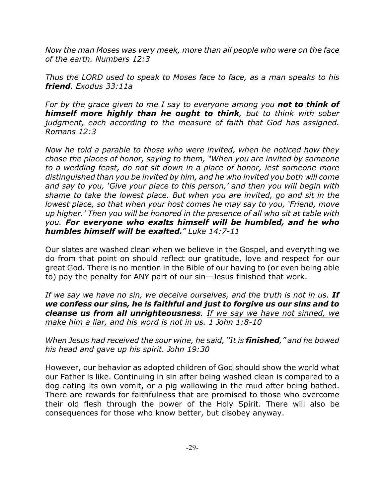*Now the man Moses was very meek, more than all people who were on the face of the earth. Numbers 12:3*

*Thus the LORD used to speak to Moses face to face, as a man speaks to his friend. Exodus 33:11a*

*For by the grace given to me I say to everyone among you not to think of himself more highly than he ought to think, but to think with sober judgment, each according to the measure of faith that God has assigned. Romans 12:3*

*Now he told a parable to those who were invited, when he noticed how they chose the places of honor, saying to them, "When you are invited by someone to a wedding feast, do not sit down in a place of honor, lest someone more distinguished than you be invited by him, and he who invited you both will come and say to you, 'Give your place to this person,' and then you will begin with shame to take the lowest place. But when you are invited, go and sit in the lowest place, so that when your host comes he may say to you, 'Friend, move up higher.' Then you will be honored in the presence of all who sit at table with you. For everyone who exalts himself will be humbled, and he who humbles himself will be exalted." Luke 14:7-11*

Our slates are washed clean when we believe in the Gospel, and everything we do from that point on should reflect our gratitude, love and respect for our great God. There is no mention in the Bible of our having to (or even being able to) pay the penalty for ANY part of our sin—Jesus finished that work.

If we say we have no sin, we deceive ourselves, and the truth is not in us. If *we confess our sins, he is faithful and just to forgive us our sins and to cleanse us from all unrighteousness. If we say we have not sinned, we make him a liar, and his word is not in us. 1 John 1:8-10*

*When Jesus had received the sour wine, he said, "It is finished," and he bowed his head and gave up his spirit. John 19:30*

However, our behavior as adopted children of God should show the world what our Father is like. Continuing in sin after being washed clean is compared to a dog eating its own vomit, or a pig wallowing in the mud after being bathed. There are rewards for faithfulness that are promised to those who overcome their old flesh through the power of the Holy Spirit. There will also be consequences for those who know better, but disobey anyway.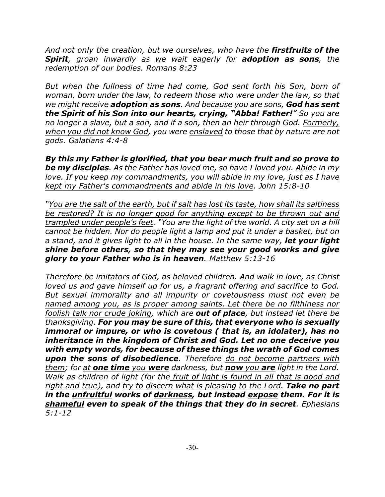*And not only the creation, but we ourselves, who have the firstfruits of the Spirit, groan inwardly as we wait eagerly for adoption as sons, the redemption of our bodies. Romans 8:23*

*But when the fullness of time had come, God sent forth his Son, born of woman, born under the law, to redeem those who were under the law, so that we might receive adoption as sons. And because you are sons, God has sent the Spirit of his Son into our hearts, crying, "Abba! Father!" So you are no longer a slave, but a son, and if a son, then an heir through God. Formerly, when you did not know God, you were enslaved to those that by nature are not gods. Galatians 4:4-8*

*By this my Father is glorified, that you bear much fruit and so prove to be my disciples. As the Father has loved me, so have I loved you. Abide in my love. If you keep my commandments, you will abide in my love, just as I have kept my Father's commandments and abide in his love. John 15:8-10*

*"You are the salt of the earth, but if salt has lost its taste, how shall its saltiness be restored? It is no longer good for anything except to be thrown out and trampled under people's feet. "You are the light of the world. A city set on a hill cannot be hidden. Nor do people light a lamp and put it under a basket, but on a stand, and it gives light to all in the house. In the same way, let your light shine before others, so that they may see your good works and give glory to your Father who is in heaven. Matthew 5:13-16*

*Therefore be imitators of God, as beloved children. And walk in love, as Christ loved us and gave himself up for us, a fragrant offering and sacrifice to God. But sexual immorality and all impurity or covetousness must not even be named among you, as is proper among saints. Let there be no filthiness nor foolish talk nor crude joking, which are out of place, but instead let there be thanksgiving. For you may be sure of this, that everyone who is sexually immoral or impure, or who is covetous ( that is, an idolater), has no inheritance in the kingdom of Christ and God. Let no one deceive you with empty words, for because of these things the wrath of God comes upon the sons of disobedience. Therefore do not become partners with them; for at one time you were darkness, but now you are light in the Lord. Walk as children of light (for the fruit of light is found in all that is good and right and true), and try to discern what is pleasing to the Lord. Take no part in the unfruitful works of darkness, but instead expose them. For it is shameful even to speak of the things that they do in secret. Ephesians 5:1-12*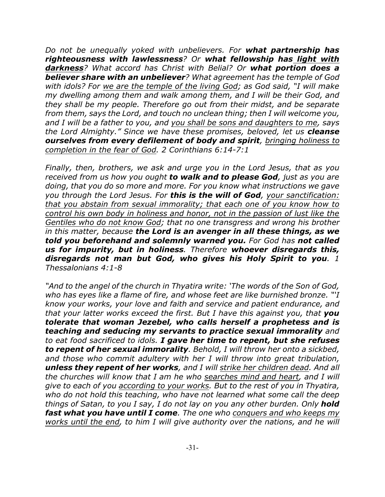*Do not be unequally yoked with unbelievers. For what partnership has righteousness with lawlessness? Or what fellowship has light with darkness? What accord has Christ with Belial? Or what portion does a believer share with an unbeliever? What agreement has the temple of God with idols? For we are the temple of the living God; as God said, "I will make my dwelling among them and walk among them, and I will be their God, and they shall be my people. Therefore go out from their midst, and be separate from them, says the Lord, and touch no unclean thing; then I will welcome you, and I will be a father to you, and you shall be sons and daughters to me, says the Lord Almighty." Since we have these promises, beloved, let us cleanse ourselves from every defilement of body and spirit, bringing holiness to completion in the fear of God. 2 Corinthians 6:14-7:1*

*Finally, then, brothers, we ask and urge you in the Lord Jesus, that as you received from us how you ought to walk and to please God, just as you are doing, that you do so more and more. For you know what instructions we gave you through the Lord Jesus. For this is the will of God, your sanctification: that you abstain from sexual immorality; that each one of you know how to control his own body in holiness and honor, not in the passion of lust like the Gentiles who do not know God; that no one transgress and wrong his brother in this matter, because the Lord is an avenger in all these things, as we told you beforehand and solemnly warned you. For God has not called us for impurity, but in holiness. Therefore whoever disregards this, disregards not man but God, who gives his Holy Spirit to you. 1 Thessalonians 4:1-8*

*"And to the angel of the church in Thyatira write: 'The words of the Son of God, who has eyes like a flame of fire, and whose feet are like burnished bronze. "'I know your works, your love and faith and service and patient endurance, and that your latter works exceed the first. But I have this against you, that you tolerate that woman Jezebel, who calls herself a prophetess and is teaching and seducing my servants to practice sexual immorality and to eat food sacrificed to idols. I gave her time to repent, but she refuses to repent of her sexual immorality. Behold, I will throw her onto a sickbed, and those who commit adultery with her I will throw into great tribulation, unless they repent of her works, and I will strike her children dead. And all the churches will know that I am he who searches mind and heart, and I will give to each of you according to your works. But to the rest of you in Thyatira, who do not hold this teaching, who have not learned what some call the deep things of Satan, to you I say, I do not lay on you any other burden. Only hold fast what you have until I come. The one who conquers and who keeps my works until the end, to him I will give authority over the nations, and he will*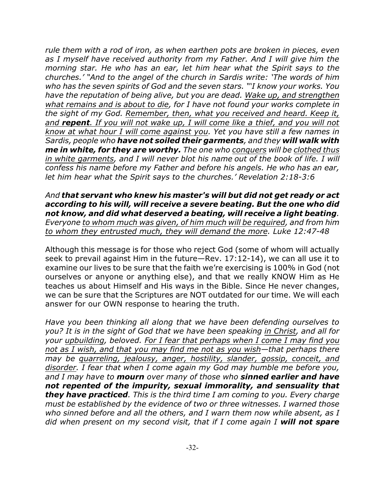*rule them with a rod of iron, as when earthen pots are broken in pieces, even as I myself have received authority from my Father. And I will give him the morning star. He who has an ear, let him hear what the Spirit says to the churches.' "And to the angel of the church in Sardis write: 'The words of him who has the seven spirits of God and the seven stars. "'I know your works. You have the reputation of being alive, but you are dead. Wake up, and strengthen what remains and is about to die, for I have not found your works complete in the sight of my God. Remember, then, what you received and heard. Keep it, and repent. If you will not wake up, I will come like a thief, and you will not know at what hour I will come against you. Yet you have still a few names in Sardis, people who have not soiled their garments, and they will walk with me in white, for they are worthy. The one who conquers will be clothed thus in white garments, and I will never blot his name out of the book of life. I will confess his name before my Father and before his angels. He who has an ear, let him hear what the Spirit says to the churches.' Revelation 2:18-3:6*

*And that servant who knew his master's will but did not get ready or act according to his will, will receive a severe beating. But the one who did not know, and did what deserved a beating, will receive a light beating. Everyone to whom much was given, of him much will be required, and from him to whom they entrusted much, they will demand the more. Luke 12:47-48*

Although this message is for those who reject God (some of whom will actually seek to prevail against Him in the future—Rev. 17:12-14), we can all use it to examine our lives to be sure that the faith we're exercising is 100% in God (not ourselves or anyone or anything else), and that we really KNOW Him as He teaches us about Himself and His ways in the Bible. Since He never changes, we can be sure that the Scriptures are NOT outdated for our time. We will each answer for our OWN response to hearing the truth.

*Have you been thinking all along that we have been defending ourselves to you? It is in the sight of God that we have been speaking in Christ, and all for your upbuilding, beloved. For I fear that perhaps when I come I may find you not as I wish, and that you may find me not as you wish—that perhaps there may be quarreling, jealousy, anger, hostility, slander, gossip, conceit, and disorder. I fear that when I come again my God may humble me before you, and I may have to mourn over many of those who sinned earlier and have not repented of the impurity, sexual immorality, and sensuality that they have practiced. This is the third time I am coming to you. Every charge must be established by the evidence of two or three witnesses. I warned those who sinned before and all the others, and I warn them now while absent, as I did when present on my second visit, that if I come again I will not spare*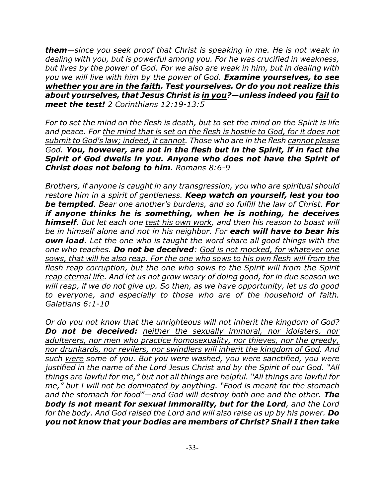*them—since you seek proof that Christ is speaking in me. He is not weak in dealing with you, but is powerful among you. For he was crucified in weakness, but lives by the power of God. For we also are weak in him, but in dealing with you we will live with him by the power of God. Examine yourselves, to see whether you are in the faith. Test yourselves. Or do you not realize this about yourselves, that Jesus Christ is in you?—unless indeed you fail to meet the test! 2 Corinthians 12:19-13:5*

*For to set the mind on the flesh is death, but to set the mind on the Spirit is life and peace. For the mind that is set on the flesh is hostile to God, for it does not submit to God's law; indeed, it cannot. Those who are in the flesh cannot please God. You, however, are not in the flesh but in the Spirit, if in fact the Spirit of God dwells in you. Anyone who does not have the Spirit of Christ does not belong to him. Romans 8:6-9*

*Brothers, if anyone is caught in any transgression, you who are spiritual should restore him in a spirit of gentleness. Keep watch on yourself, lest you too be tempted. Bear one another's burdens, and so fulfill the law of Christ. For if anyone thinks he is something, when he is nothing, he deceives himself. But let each one test his own work, and then his reason to boast will be in himself alone and not in his neighbor. For each will have to bear his own load. Let the one who is taught the word share all good things with the one who teaches. Do not be deceived: God is not mocked, for whatever one sows, that will he also reap. For the one who sows to his own flesh will from the flesh reap corruption, but the one who sows to the Spirit will from the Spirit reap eternal life. And let us not grow weary of doing good, for in due season we will reap, if we do not give up. So then, as we have opportunity, let us do good to everyone, and especially to those who are of the household of faith. Galatians 6:1-10*

*Or do you not know that the unrighteous will not inherit the kingdom of God? Do not be deceived: neither the sexually immoral, nor idolaters, nor adulterers, nor men who practice homosexuality, nor thieves, nor the greedy, nor drunkards, nor revilers, nor swindlers will inherit the kingdom of God. And such were some of you. But you were washed, you were sanctified, you were justified in the name of the Lord Jesus Christ and by the Spirit of our God. "All things are lawful for me," but not all things are helpful. "All things are lawful for me," but I will not be dominated by anything. "Food is meant for the stomach and the stomach for food"—and God will destroy both one and the other. The body is not meant for sexual immorality, but for the Lord, and the Lord for the body. And God raised the Lord and will also raise us up by his power. Do you not know that your bodies are members of Christ? Shall I then take*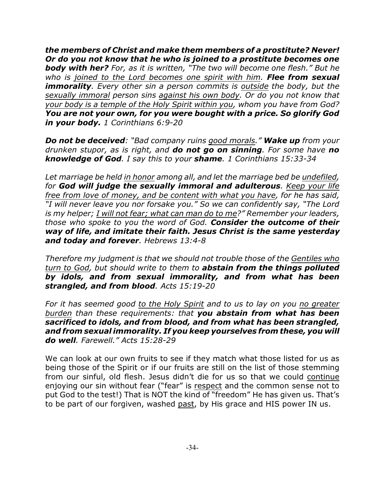*the members of Christ and make them members of a prostitute? Never! Or do you not know that he who is joined to a prostitute becomes one body with her? For, as it is written, "The two will become one flesh." But he who is joined to the Lord becomes one spirit with him. Flee from sexual immorality. Every other sin a person commits is outside the body, but the sexually immoral person sins against his own body. Or do you not know that your body is a temple of the Holy Spirit within you, whom you have from God? You are not your own, for you were bought with a price. So glorify God in your body. 1 Corinthians 6:9-20*

*Do not be deceived: "Bad company ruins good morals." Wake up from your drunken stupor, as is right, and do not go on sinning. For some have no knowledge of God. I say this to your shame. 1 Corinthians 15:33-34*

*Let marriage be held in honor among all, and let the marriage bed be undefiled, for God will judge the sexually immoral and adulterous. Keep your life free from love of money, and be content with what you have, for he has said, "I will never leave you nor forsake you." So we can confidently say, "The Lord is my helper; I will not fear; what can man do to me?" Remember your leaders, those who spoke to you the word of God. Consider the outcome of their way of life, and imitate their faith. Jesus Christ is the same yesterday and today and forever. Hebrews 13:4-8*

*Therefore my judgment is that we should not trouble those of the Gentiles who turn to God, but should write to them to abstain from the things polluted by idols, and from sexual immorality, and from what has been strangled, and from blood. Acts 15:19-20*

*For it has seemed good to the Holy Spirit and to us to lay on you no greater burden than these requirements: that you abstain from what has been sacrificed to idols, and from blood, and from what has been strangled, and from sexual immorality. If you keep yourselves from these, you will do well. Farewell." Acts 15:28-29*

We can look at our own fruits to see if they match what those listed for us as being those of the Spirit or if our fruits are still on the list of those stemming from our sinful, old flesh. Jesus didn't die for us so that we could continue enjoying our sin without fear ("fear" is respect and the common sense not to put God to the test!) That is NOT the kind of "freedom" He has given us. That's to be part of our forgiven, washed past, by His grace and HIS power IN us.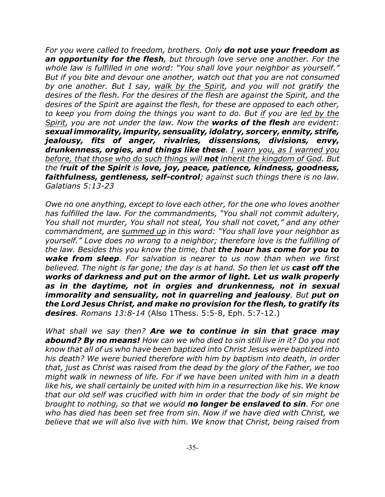*For you were called to freedom, brothers. Only do not use your freedom as an opportunity for the flesh, but through love serve one another. For the whole law is fulfilled in one word: "You shall love your neighbor as yourself." But if you bite and devour one another, watch out that you are not consumed by one another. But I say, walk by the Spirit, and you will not gratify the desires of the flesh. For the desires of the flesh are against the Spirit, and the desires of the Spirit are against the flesh, for these are opposed to each other, to keep you from doing the things you want to do. But if you are led by the Spirit, you are not under the law. Now the works of the flesh are evident: sexual immorality, impurity, sensuality, idolatry, sorcery, enmity, strife, jealousy, fits of anger, rivalries, dissensions, divisions, envy, drunkenness, orgies, and things like these. I warn you, as I warned you before, that those who do such things will not inherit the kingdom of God. But the fruit of the Spirit is love, joy, peace, patience, kindness, goodness, faithfulness, gentleness, self-control; against such things there is no law. Galatians 5:13-23*

*Owe no one anything, except to love each other, for the one who loves another has fulfilled the law. For the commandments, "You shall not commit adultery, You shall not murder, You shall not steal, You shall not covet," and any other commandment, are summed up in this word: "You shall love your neighbor as yourself." Love does no wrong to a neighbor; therefore love is the fulfilling of the law. Besides this you know the time, that the hour has come for you to wake from sleep. For salvation is nearer to us now than when we first believed. The night is far gone; the day is at hand. So then let us cast off the works of darkness and put on the armor of light. Let us walk properly as in the daytime, not in orgies and drunkenness, not in sexual immorality and sensuality, not in quarreling and jealousy. But put on the Lord Jesus Christ, and make no provision for the flesh, to gratify its desires. Romans 13:8-14* (Also 1Thess. 5:5-8, Eph. 5:7-12.)

*What shall we say then? Are we to continue in sin that grace may abound? By no means! How can we who died to sin still live in it? Do you not know that all of us who have been baptized into Christ Jesus were baptized into his death? We were buried therefore with him by baptism into death, in order that, just as Christ was raised from the dead by the glory of the Father, we too might walk in newness of life. For if we have been united with him in a death like his, we shall certainly be united with him in a resurrection like his. We know that our old self was crucified with him in order that the body of sin might be brought to nothing, so that we would no longer be enslaved to sin. For one who has died has been set free from sin. Now if we have died with Christ, we believe that we will also live with him. We know that Christ, being raised from*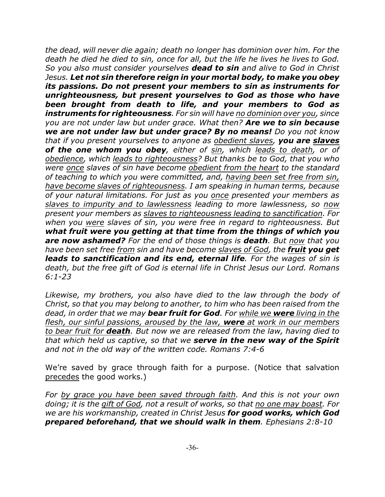*the dead, will never die again; death no longer has dominion over him. For the death he died he died to sin, once for all, but the life he lives he lives to God. So you also must consider yourselves dead to sin and alive to God in Christ Jesus. Let not sin therefore reign in your mortal body, to make you obey its passions. Do not present your members to sin as instruments for unrighteousness, but present yourselves to God as those who have been brought from death to life, and your members to God as instruments for righteousness. For sin will have no dominion over you, since you are not under law but under grace. What then? Are we to sin because we are not under law but under grace? By no means! Do you not know that if you present yourselves to anyone as obedient slaves, you are slaves of the one whom you obey, either of sin, which leads to death, or of obedience, which leads to righteousness? But thanks be to God, that you who were once slaves of sin have become obedient from the heart to the standard of teaching to which you were committed, and, having been set free from sin, have become slaves of righteousness. I am speaking in human terms, because of your natural limitations. For just as you once presented your members as slaves to impurity and to lawlessness leading to more lawlessness, so now present your members as slaves to righteousness leading to sanctification. For when you were slaves of sin, you were free in regard to righteousness. But what fruit were you getting at that time from the things of which you are now ashamed? For the end of those things is death. But now that you have been set free from sin and have become slaves of God, the fruit you get leads to sanctification and its end, eternal life. For the wages of sin is death, but the free gift of God is eternal life in Christ Jesus our Lord. Romans 6:1-23*

*Likewise, my brothers, you also have died to the law through the body of Christ, so that you may belong to another, to him who has been raised from the dead, in order that we may bear fruit for God. For while we were living in the flesh, our sinful passions, aroused by the law, were at work in our members to bear fruit for death. But now we are released from the law, having died to that which held us captive, so that we serve in the new way of the Spirit and not in the old way of the written code. Romans 7:4-6*

We're saved by grace through faith for a purpose. (Notice that salvation precedes the good works.)

*For by grace you have been saved through faith. And this is not your own doing; it is the gift of God, not a result of works, so that no one may boast. For we are his workmanship, created in Christ Jesus for good works, which God prepared beforehand, that we should walk in them. Ephesians 2:8-10*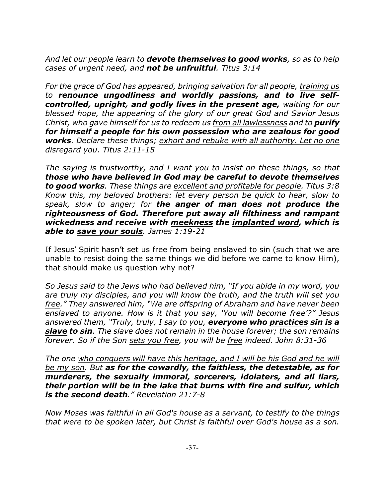*And let our people learn to devote themselves to good works, so as to help cases of urgent need, and not be unfruitful. Titus 3:14*

*For the grace of God has appeared, bringing salvation for all people, training us to renounce ungodliness and worldly passions, and to live selfcontrolled, upright, and godly lives in the present age, waiting for our blessed hope, the appearing of the glory of our great God and Savior Jesus Christ, who gave himself for us to redeem us from all lawlessness and to purify for himself a people for his own possession who are zealous for good works. Declare these things; exhort and rebuke with all authority. Let no one disregard you. Titus 2:11-15*

*The saying is trustworthy, and I want you to insist on these things, so that those who have believed in God may be careful to devote themselves to good works. These things are excellent and profitable for people. Titus 3:8 Know this, my beloved brothers: let every person be quick to hear, slow to speak, slow to anger; for the anger of man does not produce the righteousness of God. Therefore put away all filthiness and rampant wickedness and receive with meekness the implanted word, which is able to save your souls. James 1:19-21*

If Jesus' Spirit hasn't set us free from being enslaved to sin (such that we are unable to resist doing the same things we did before we came to know Him), that should make us question why not?

*So Jesus said to the Jews who had believed him, "If you abide in my word, you are truly my disciples, and you will know the truth, and the truth will set you free." They answered him, "We are offspring of Abraham and have never been enslaved to anyone. How is it that you say, 'You will become free'?" Jesus answered them, "Truly, truly, I say to you, everyone who practices sin is a slave to sin. The slave does not remain in the house forever; the son remains forever. So if the Son sets you free, you will be free indeed. John 8:31-36*

*The one who conquers will have this heritage, and I will be his God and he will be my son. But as for the cowardly, the faithless, the detestable, as for murderers, the sexually immoral, sorcerers, idolaters, and all liars, their portion will be in the lake that burns with fire and sulfur, which is the second death." Revelation 21:7-8*

*Now Moses was faithful in all God's house as a servant, to testify to the things that were to be spoken later, but Christ is faithful over God's house as a son.*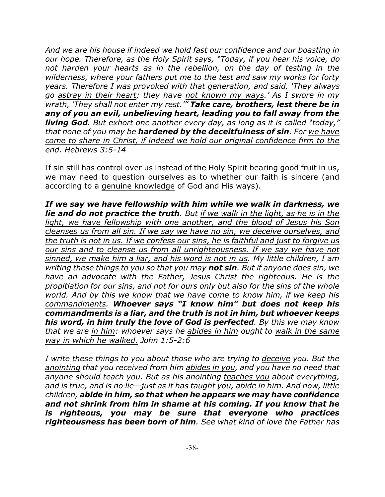*And we are his house if indeed we hold fast our confidence and our boasting in our hope. Therefore, as the Holy Spirit says, "Today, if you hear his voice, do not harden your hearts as in the rebellion, on the day of testing in the wilderness, where your fathers put me to the test and saw my works for forty years. Therefore I was provoked with that generation, and said, 'They always go astray in their heart; they have not known my ways.' As I swore in my wrath, 'They shall not enter my rest.'" Take care, brothers, lest there be in any of you an evil, unbelieving heart, leading you to fall away from the living God. But exhort one another every day, as long as it is called "today," that none of you may be hardened by the deceitfulness of sin. For we have come to share in Christ, if indeed we hold our original confidence firm to the end. Hebrews 3:5-14*

If sin still has control over us instead of the Holy Spirit bearing good fruit in us, we may need to question ourselves as to whether our faith is sincere (and according to a genuine knowledge of God and His ways).

*If we say we have fellowship with him while we walk in darkness, we lie and do not practice the truth. But if we walk in the light, as he is in the light, we have fellowship with one another, and the blood of Jesus his Son cleanses us from all sin. If we say we have no sin, we deceive ourselves, and the truth is not in us. If we confess our sins, he is faithful and just to forgive us our sins and to cleanse us from all unrighteousness. If we say we have not sinned, we make him a liar, and his word is not in us. My little children, I am writing these things to you so that you may not sin. But if anyone does sin, we have an advocate with the Father, Jesus Christ the righteous. He is the propitiation for our sins, and not for ours only but also for the sins of the whole world. And by this we know that we have come to know him, if we keep his commandments. Whoever says "I know him" but does not keep his commandments is a liar, and the truth is not in him, but whoever keeps his word, in him truly the love of God is perfected. By this we may know that we are in him: whoever says he abides in him ought to walk in the same way in which he walked. John 1:5-2:6*

*I write these things to you about those who are trying to deceive you. But the anointing that you received from him abides in you, and you have no need that anyone should teach you. But as his anointing teaches you about everything, and is true, and is no lie—just as it has taught you, abide in him. And now, little children, abide in him, so that when he appears we may have confidence and not shrink from him in shame at his coming. If you know that he is righteous, you may be sure that everyone who practices righteousness has been born of him. See what kind of love the Father has*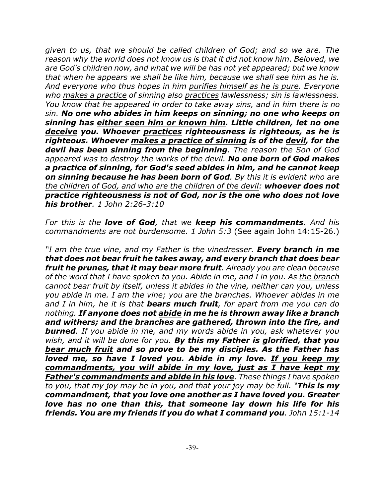*given to us, that we should be called children of God; and so we are. The reason why the world does not know us is that it did not know him. Beloved, we are God's children now, and what we will be has not yet appeared; but we know that when he appears we shall be like him, because we shall see him as he is. And everyone who thus hopes in him purifies himself as he is pure. Everyone who makes a practice of sinning also practices lawlessness; sin is lawlessness. You know that he appeared in order to take away sins, and in him there is no sin. No one who abides in him keeps on sinning; no one who keeps on sinning has either seen him or known him. Little children, let no one deceive you. Whoever practices righteousness is righteous, as he is righteous. Whoever makes a practice of sinning is of the devil, for the devil has been sinning from the beginning. The reason the Son of God appeared was to destroy the works of the devil. No one born of God makes a practice of sinning, for God's seed abides in him, and he cannot keep on sinning because he has been born of God. By this it is evident who are the children of God, and who are the children of the devil: whoever does not practice righteousness is not of God, nor is the one who does not love his brother. 1 John 2:26-3:10*

*For this is the love of God, that we keep his commandments. And his commandments are not burdensome. 1 John 5:3* (See again John 14:15-26.)

*"I am the true vine, and my Father is the vinedresser. Every branch in me that does not bear fruit he takes away, and every branch that does bear fruit he prunes, that it may bear more fruit. Already you are clean because of the word that I have spoken to you. Abide in me, and I in you. As the branch cannot bear fruit by itself, unless it abides in the vine, neither can you, unless you abide in me. I am the vine; you are the branches. Whoever abides in me and I in him, he it is that bears much fruit, for apart from me you can do nothing. If anyone does not abide in me he is thrown away like a branch and withers; and the branches are gathered, thrown into the fire, and burned. If you abide in me, and my words abide in you, ask whatever you wish, and it will be done for you. By this my Father is glorified, that you bear much fruit and so prove to be my disciples. As the Father has loved me, so have I loved you. Abide in my love. If you keep my commandments, you will abide in my love, just as I have kept my Father's commandments and abide in his love. These things I have spoken to you, that my joy may be in you, and that your joy may be full. "This is my commandment, that you love one another as I have loved you. Greater love has no one than this, that someone lay down his life for his friends. You are my friends if you do what I command you. John 15:1-14*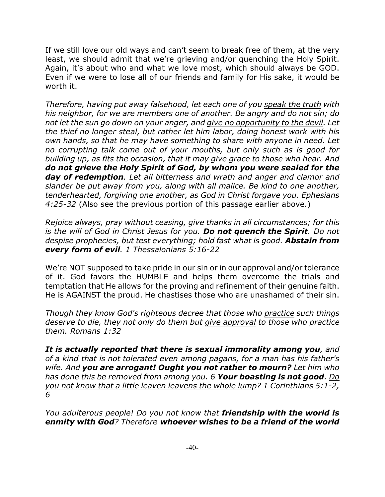If we still love our old ways and can't seem to break free of them, at the very least, we should admit that we're grieving and/or quenching the Holy Spirit. Again, it's about who and what we love most, which should always be GOD. Even if we were to lose all of our friends and family for His sake, it would be worth it.

*Therefore, having put away falsehood, let each one of you speak the truth with his neighbor, for we are members one of another. Be angry and do not sin; do not let the sun go down on your anger, and give no opportunity to the devil. Let the thief no longer steal, but rather let him labor, doing honest work with his own hands, so that he may have something to share with anyone in need. Let no corrupting talk come out of your mouths, but only such as is good for building up, as fits the occasion, that it may give grace to those who hear. And do not grieve the Holy Spirit of God, by whom you were sealed for the day of redemption. Let all bitterness and wrath and anger and clamor and slander be put away from you, along with all malice. Be kind to one another, tenderhearted, forgiving one another, as God in Christ forgave you. Ephesians 4:25-32* (Also see the previous portion of this passage earlier above.)

*Rejoice always, pray without ceasing, give thanks in all circumstances; for this is the will of God in Christ Jesus for you. Do not quench the Spirit. Do not despise prophecies, but test everything; hold fast what is good. Abstain from every form of evil. 1 Thessalonians 5:16-22*

We're NOT supposed to take pride in our sin or in our approval and/or tolerance of it. God favors the HUMBLE and helps them overcome the trials and temptation that He allows for the proving and refinement of their genuine faith. He is AGAINST the proud. He chastises those who are unashamed of their sin.

*Though they know God's righteous decree that those who practice such things deserve to die, they not only do them but give approval to those who practice them. Romans 1:32*

*It is actually reported that there is sexual immorality among you, and of a kind that is not tolerated even among pagans, for a man has his father's wife. And you are arrogant! Ought you not rather to mourn? Let him who has done this be removed from among you. 6 Your boasting is not good. Do you not know that a little leaven leavens the whole lump? 1 Corinthians 5:1-2, 6*

*You adulterous people! Do you not know that friendship with the world is enmity with God? Therefore whoever wishes to be a friend of the world*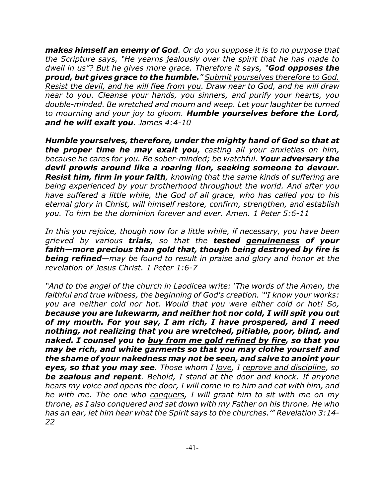*makes himself an enemy of God. Or do you suppose it is to no purpose that the Scripture says, "He yearns jealously over the spirit that he has made to dwell in us"? But he gives more grace. Therefore it says, "God opposes the proud, but gives grace to the humble." Submit yourselves therefore to God. Resist the devil, and he will flee from you. Draw near to God, and he will draw near to you. Cleanse your hands, you sinners, and purify your hearts, you double-minded. Be wretched and mourn and weep. Let your laughter be turned to mourning and your joy to gloom. Humble yourselves before the Lord, and he will exalt you. James 4:4-10*

*Humble yourselves, therefore, under the mighty hand of God so that at the proper time he may exalt you, casting all your anxieties on him, because he cares for you. Be sober-minded; be watchful. Your adversary the devil prowls around like a roaring lion, seeking someone to devour. Resist him, firm in your faith, knowing that the same kinds of suffering are being experienced by your brotherhood throughout the world. And after you have suffered a little while, the God of all grace, who has called you to his eternal glory in Christ, will himself restore, confirm, strengthen, and establish you. To him be the dominion forever and ever. Amen. 1 Peter 5:6-11*

*In this you rejoice, though now for a little while, if necessary, you have been grieved by various trials, so that the tested genuineness of your faith—more precious than gold that, though being destroyed by fire is being refined—may be found to result in praise and glory and honor at the revelation of Jesus Christ. 1 Peter 1:6-7*

*"And to the angel of the church in Laodicea write: 'The words of the Amen, the faithful and true witness, the beginning of God's creation. "'I know your works: you are neither cold nor hot. Would that you were either cold or hot! So, because you are lukewarm, and neither hot nor cold, I will spit you out of my mouth. For you say, I am rich, I have prospered, and I need nothing, not realizing that you are wretched, pitiable, poor, blind, and naked. I counsel you to buy from me gold refined by fire, so that you may be rich, and white garments so that you may clothe yourself and the shame of your nakedness may not be seen, and salve to anoint your eyes, so that you may see. Those whom I love, I reprove and discipline, so be zealous and repent. Behold, I stand at the door and knock. If anyone hears my voice and opens the door, I will come in to him and eat with him, and he with me. The one who conquers, I will grant him to sit with me on my throne, as I also conquered and sat down with my Father on his throne. He who has an ear, let him hear what the Spirit says to the churches.'" Revelation 3:14- 22*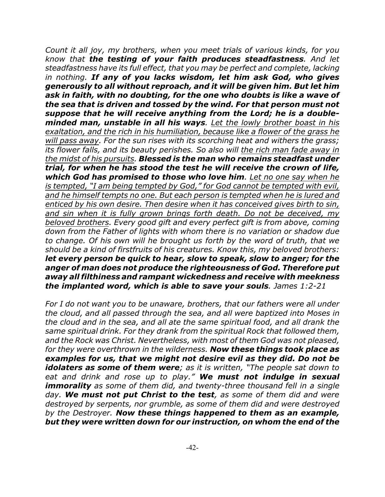*Count it all joy, my brothers, when you meet trials of various kinds, for you know that the testing of your faith produces steadfastness. And let steadfastness have its full effect, that you may be perfect and complete, lacking in nothing. If any of you lacks wisdom, let him ask God, who gives generously to all without reproach, and it will be given him. But let him ask in faith, with no doubting, for the one who doubts is like a wave of the sea that is driven and tossed by the wind. For that person must not suppose that he will receive anything from the Lord; he is a doubleminded man, unstable in all his ways. Let the lowly brother boast in his exaltation, and the rich in his humiliation, because like a flower of the grass he will pass away. For the sun rises with its scorching heat and withers the grass; its flower falls, and its beauty perishes. So also will the rich man fade away in the midst of his pursuits. Blessed is the man who remains steadfast under trial, for when he has stood the test he will receive the crown of life, which God has promised to those who love him. Let no one say when he is tempted, "I am being tempted by God," for God cannot be tempted with evil, and he himself tempts no one. But each person is tempted when he is lured and enticed by his own desire. Then desire when it has conceived gives birth to sin, and sin when it is fully grown brings forth death. Do not be deceived, my beloved brothers. Every good gift and every perfect gift is from above, coming down from the Father of lights with whom there is no variation or shadow due to change. Of his own will he brought us forth by the word of truth, that we should be a kind of firstfruits of his creatures. Know this, my beloved brothers: let every person be quick to hear, slow to speak, slow to anger; for the anger of man does not produce the righteousness of God. Therefore put away all filthiness and rampant wickedness and receive with meekness the implanted word, which is able to save your souls. James 1:2-21*

*For I do not want you to be unaware, brothers, that our fathers were all under the cloud, and all passed through the sea, and all were baptized into Moses in the cloud and in the sea, and all ate the same spiritual food, and all drank the same spiritual drink. For they drank from the spiritual Rock that followed them, and the Rock was Christ. Nevertheless, with most of them God was not pleased, for they were overthrown in the wilderness. Now these things took place as examples for us, that we might not desire evil as they did. Do not be idolaters as some of them were; as it is written, "The people sat down to eat and drink and rose up to play." We must not indulge in sexual immorality as some of them did, and twenty-three thousand fell in a single day. We must not put Christ to the test, as some of them did and were destroyed by serpents, nor grumble, as some of them did and were destroyed by the Destroyer. Now these things happened to them as an example, but they were written down for our instruction, on whom the end of the*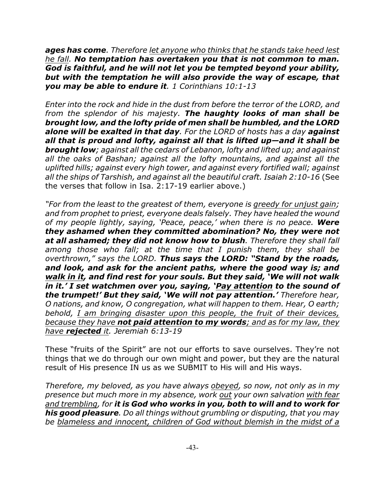*ages has come. Therefore let anyone who thinks that he stands take heed lest he fall. No temptation has overtaken you that is not common to man. God is faithful, and he will not let you be tempted beyond your ability, but with the temptation he will also provide the way of escape, that you may be able to endure it. 1 Corinthians 10:1-13*

*Enter into the rock and hide in the dust from before the terror of the LORD, and from the splendor of his majesty. The haughty looks of man shall be brought low, and the lofty pride of men shall be humbled, and the LORD alone will be exalted in that day. For the LORD of hosts has a day against all that is proud and lofty, against all that is lifted up—and it shall be brought low; against all the cedars of Lebanon, lofty and lifted up; and against all the oaks of Bashan; against all the lofty mountains, and against all the uplifted hills; against every high tower, and against every fortified wall; against all the ships of Tarshish, and against all the beautiful craft. Isaiah 2:10-16* (See the verses that follow in Isa. 2:17-19 earlier above.)

*"For from the least to the greatest of them, everyone is greedy for unjust gain; and from prophet to priest, everyone deals falsely. They have healed the wound of my people lightly, saying, 'Peace, peace,' when there is no peace. Were they ashamed when they committed abomination? No, they were not at all ashamed; they did not know how to blush. Therefore they shall fall among those who fall; at the time that I punish them, they shall be overthrown," says the LORD. Thus says the LORD: "Stand by the roads, and look, and ask for the ancient paths, where the good way is; and walk in it, and find rest for your souls. But they said, 'We will not walk in it.' I set watchmen over you, saying, 'Pay attention to the sound of the trumpet!' But they said, 'We will not pay attention.' Therefore hear, O nations, and know, O congregation, what will happen to them. Hear, O earth; behold, I am bringing disaster upon this people, the fruit of their devices, because they have not paid attention to my words; and as for my law, they have rejected it. Jeremiah 6:13-19*

These "fruits of the Spirit" are not our efforts to save ourselves. They're not things that we do through our own might and power, but they are the natural result of His presence IN us as we SUBMIT to His will and His ways.

*Therefore, my beloved, as you have always obeyed, so now, not only as in my presence but much more in my absence, work out your own salvation with fear and trembling, for it is God who works in you, both to will and to work for his good pleasure. Do all things without grumbling or disputing, that you may be blameless and innocent, children of God without blemish in the midst of a*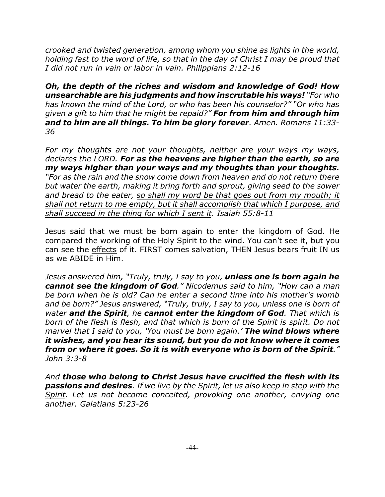*crooked and twisted generation, among whom you shine as lights in the world, holding fast to the word of life, so that in the day of Christ I may be proud that I did not run in vain or labor in vain. Philippians 2:12-16*

*Oh, the depth of the riches and wisdom and knowledge of God! How unsearchable are his judgments and how inscrutable his ways! "For who has known the mind of the Lord, or who has been his counselor?" "Or who has given a gift to him that he might be repaid?" For from him and through him and to him are all things. To him be glory forever. Amen. Romans 11:33- 36*

*For my thoughts are not your thoughts, neither are your ways my ways, declares the LORD. For as the heavens are higher than the earth, so are my ways higher than your ways and my thoughts than your thoughts. "For as the rain and the snow come down from heaven and do not return there but water the earth, making it bring forth and sprout, giving seed to the sower and bread to the eater, so shall my word be that goes out from my mouth; it shall not return to me empty, but it shall accomplish that which I purpose, and shall succeed in the thing for which I sent it. Isaiah 55:8-11*

Jesus said that we must be born again to enter the kingdom of God. He compared the working of the Holy Spirit to the wind. You can't see it, but you can see the effects of it. FIRST comes salvation, THEN Jesus bears fruit IN us as we ABIDE in Him.

*Jesus answered him, "Truly, truly, I say to you, unless one is born again he cannot see the kingdom of God." Nicodemus said to him, "How can a man be born when he is old? Can he enter a second time into his mother's womb and be born?" Jesus answered, "Truly, truly, I say to you, unless one is born of water and the Spirit, he cannot enter the kingdom of God. That which is born of the flesh is flesh, and that which is born of the Spirit is spirit. Do not marvel that I said to you, 'You must be born again.' The wind blows where it wishes, and you hear its sound, but you do not know where it comes from or where it goes. So it is with everyone who is born of the Spirit." John 3:3-8*

*And those who belong to Christ Jesus have crucified the flesh with its passions and desires. If we live by the Spirit, let us also keep in step with the Spirit. Let us not become conceited, provoking one another, envying one another. Galatians 5:23-26*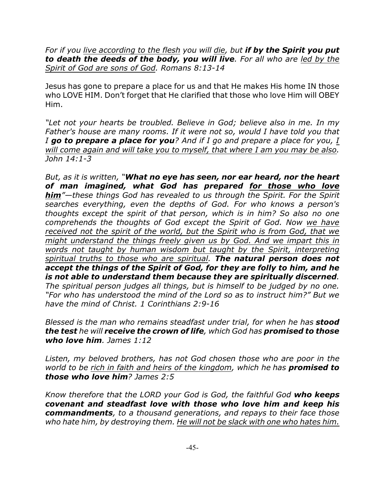*For if you live according to the flesh you will die, but if by the Spirit you put to death the deeds of the body, you will live. For all who are led by the Spirit of God are sons of God. Romans 8:13-14*

Jesus has gone to prepare a place for us and that He makes His home IN those who LOVE HIM. Don't forget that He clarified that those who love Him will OBEY Him.

*"Let not your hearts be troubled. Believe in God; believe also in me. In my Father's house are many rooms. If it were not so, would I have told you that I go to prepare a place for you? And if I go and prepare a place for you, I will come again and will take you to myself, that where I am you may be also. John 14:1-3*

*But, as it is written, "What no eye has seen, nor ear heard, nor the heart of man imagined, what God has prepared for those who love him"—these things God has revealed to us through the Spirit. For the Spirit searches everything, even the depths of God. For who knows a person's thoughts except the spirit of that person, which is in him? So also no one comprehends the thoughts of God except the Spirit of God. Now we have received not the spirit of the world, but the Spirit who is from God, that we might understand the things freely given us by God. And we impart this in words not taught by human wisdom but taught by the Spirit, interpreting spiritual truths to those who are spiritual. The natural person does not accept the things of the Spirit of God, for they are folly to him, and he is not able to understand them because they are spiritually discerned. The spiritual person judges all things, but is himself to be judged by no one. "For who has understood the mind of the Lord so as to instruct him?" But we have the mind of Christ. 1 Corinthians 2:9-16*

*Blessed is the man who remains steadfast under trial, for when he has stood the test he will receive the crown of life, which God has promised to those who love him. James 1:12*

*Listen, my beloved brothers, has not God chosen those who are poor in the world to be rich in faith and heirs of the kingdom, which he has promised to those who love him? James 2:5*

*Know therefore that the LORD your God is God, the faithful God who keeps covenant and steadfast love with those who love him and keep his commandments, to a thousand generations, and repays to their face those who hate him, by destroying them. He will not be slack with one who hates him.*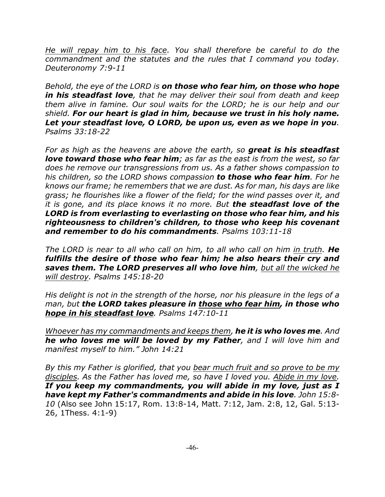*He will repay him to his face. You shall therefore be careful to do the commandment and the statutes and the rules that I command you today. Deuteronomy 7:9-11*

*Behold, the eye of the LORD is on those who fear him, on those who hope in his steadfast love, that he may deliver their soul from death and keep them alive in famine. Our soul waits for the LORD; he is our help and our shield. For our heart is glad in him, because we trust in his holy name. Let your steadfast love, O LORD, be upon us, even as we hope in you. Psalms 33:18-22*

*For as high as the heavens are above the earth, so great is his steadfast love toward those who fear him; as far as the east is from the west, so far does he remove our transgressions from us. As a father shows compassion to his children, so the LORD shows compassion to those who fear him. For he knows our frame; he remembers that we are dust. As for man, his days are like grass; he flourishes like a flower of the field; for the wind passes over it, and it is gone, and its place knows it no more. But the steadfast love of the LORD is from everlasting to everlasting on those who fear him, and his righteousness to children's children, to those who keep his covenant and remember to do his commandments. Psalms 103:11-18*

*The LORD is near to all who call on him, to all who call on him in truth. He fulfills the desire of those who fear him; he also hears their cry and saves them. The LORD preserves all who love him, but all the wicked he will destroy. Psalms 145:18-20*

*His delight is not in the strength of the horse, nor his pleasure in the legs of a man, but the LORD takes pleasure in those who fear him, in those who hope in his steadfast love. Psalms 147:10-11*

*Whoever has my commandments and keeps them, he it is who loves me. And he who loves me will be loved by my Father, and I will love him and manifest myself to him." John 14:21*

*By this my Father is glorified, that you bear much fruit and so prove to be my disciples. As the Father has loved me, so have I loved you. Abide in my love. If you keep my commandments, you will abide in my love, just as I have kept my Father's commandments and abide in his love. John 15:8- 10* (Also see John 15:17, Rom. 13:8-14, Matt. 7:12, Jam. 2:8, 12, Gal. 5:13- 26, 1Thess. 4:1-9)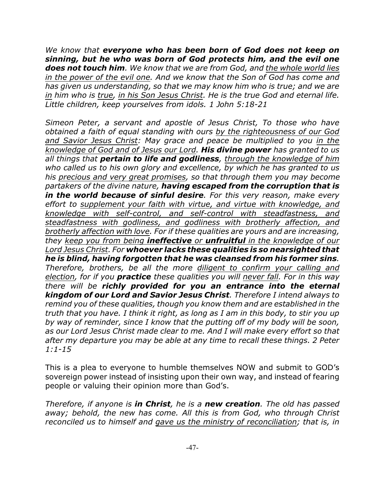*We know that everyone who has been born of God does not keep on sinning, but he who was born of God protects him, and the evil one does not touch him. We know that we are from God, and the whole world lies in the power of the evil one. And we know that the Son of God has come and has given us understanding, so that we may know him who is true; and we are in him who is true, in his Son Jesus Christ. He is the true God and eternal life. Little children, keep yourselves from idols. 1 John 5:18-21*

*Simeon Peter, a servant and apostle of Jesus Christ, To those who have obtained a faith of equal standing with ours by the righteousness of our God and Savior Jesus Christ: May grace and peace be multiplied to you in the knowledge of God and of Jesus our Lord. His divine power has granted to us all things that pertain to life and godliness, through the knowledge of him who called us to his own glory and excellence, by which he has granted to us his precious and very great promises, so that through them you may become partakers of the divine nature, having escaped from the corruption that is in the world because of sinful desire. For this very reason, make every effort to supplement your faith with virtue, and virtue with knowledge, and knowledge with self-control, and self-control with steadfastness, and steadfastness with godliness, and godliness with brotherly affection, and brotherly affection with love. For if these qualities are yours and are increasing, they keep you from being ineffective or unfruitful in the knowledge of our Lord Jesus Christ. For whoever lacks these qualities is so nearsighted that he is blind, having forgotten that he was cleansed from his former sins. Therefore, brothers, be all the more diligent to confirm your calling and election, for if you practice these qualities you will never fall. For in this way there will be richly provided for you an entrance into the eternal kingdom of our Lord and Savior Jesus Christ. Therefore I intend always to remind you of these qualities, though you know them and are established in the truth that you have. I think it right, as long as I am in this body, to stir you up by way of reminder, since I know that the putting off of my body will be soon, as our Lord Jesus Christ made clear to me. And I will make every effort so that after my departure you may be able at any time to recall these things. 2 Peter 1:1-15*

This is a plea to everyone to humble themselves NOW and submit to GOD's sovereign power instead of insisting upon their own way, and instead of fearing people or valuing their opinion more than God's.

*Therefore, if anyone is in Christ, he is a new creation. The old has passed away; behold, the new has come. All this is from God, who through Christ reconciled us to himself and gave us the ministry of reconciliation; that is, in*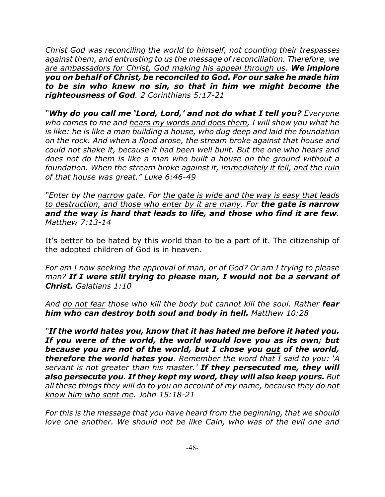*Christ God was reconciling the world to himself, not counting their trespasses against them, and entrusting to us the message of reconciliation. Therefore, we are ambassadors for Christ, God making his appeal through us. We implore you on behalf of Christ, be reconciled to God. For our sake he made him to be sin who knew no sin, so that in him we might become the righteousness of God. 2 Corinthians 5:17-21*

"Why do you call me 'Lord, Lord,' and not do what I tell you? Everyone *who comes to me and hears my words and does them, I will show you what he is like: he is like a man building a house, who dug deep and laid the foundation on the rock. And when a flood arose, the stream broke against that house and could not shake it, because it had been well built. But the one who hears and does not do them is like a man who built a house on the ground without a foundation. When the stream broke against it, immediately it fell, and the ruin of that house was great." Luke 6:46-49*

*"Enter by the narrow gate. For the gate is wide and the way is easy that leads to destruction, and those who enter by it are many. For the gate is narrow and the way is hard that leads to life, and those who find it are few. Matthew 7:13-14*

It's better to be hated by this world than to be a part of it. The citizenship of the adopted children of God is in heaven.

*For am I now seeking the approval of man, or of God? Or am I trying to please man? If I were still trying to please man, I would not be a servant of Christ. Galatians 1:10*

*And do not fear those who kill the body but cannot kill the soul. Rather fear him who can destroy both soul and body in hell. Matthew 10:28*

*"If the world hates you, know that it has hated me before it hated you. If you were of the world, the world would love you as its own; but because you are not of the world, but I chose you out of the world, therefore the world hates you. Remember the word that I said to you: 'A servant is not greater than his master.' If they persecuted me, they will also persecute you. If they kept my word, they will also keep yours. But all these things they will do to you on account of my name, because they do not know him who sent me. John 15:18-21*

*For this is the message that you have heard from the beginning, that we should love one another. We should not be like Cain, who was of the evil one and*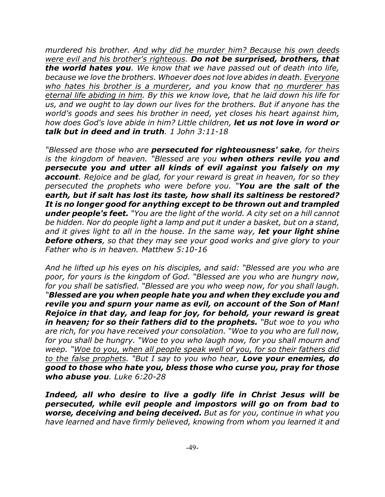*murdered his brother. And why did he murder him? Because his own deeds were evil and his brother's righteous. Do not be surprised, brothers, that the world hates you. We know that we have passed out of death into life, because we love the brothers. Whoever does not love abides in death. Everyone who hates his brother is a murderer, and you know that no murderer has eternal life abiding in him. By this we know love, that he laid down his life for us, and we ought to lay down our lives for the brothers. But if anyone has the world's goods and sees his brother in need, yet closes his heart against him, how does God's love abide in him? Little children, let us not love in word or talk but in deed and in truth. 1 John 3:11-18*

*"Blessed are those who are persecuted for righteousness' sake, for theirs is the kingdom of heaven. "Blessed are you when others revile you and persecute you and utter all kinds of evil against you falsely on my account. Rejoice and be glad, for your reward is great in heaven, for so they persecuted the prophets who were before you. "You are the salt of the earth, but if salt has lost its taste, how shall its saltiness be restored? It is no longer good for anything except to be thrown out and trampled under people's feet. "You are the light of the world. A city set on a hill cannot be hidden. Nor do people light a lamp and put it under a basket, but on a stand, and it gives light to all in the house. In the same way, let your light shine before others, so that they may see your good works and give glory to your Father who is in heaven. Matthew 5:10-16*

*And he lifted up his eyes on his disciples, and said: "Blessed are you who are poor, for yours is the kingdom of God. "Blessed are you who are hungry now, for you shall be satisfied. "Blessed are you who weep now, for you shall laugh. "Blessed are you when people hate you and when they exclude you and revile you and spurn your name as evil, on account of the Son of Man! Rejoice in that day, and leap for joy, for behold, your reward is great in heaven; for so their fathers did to the prophets. "But woe to you who are rich, for you have received your consolation. "Woe to you who are full now, for you shall be hungry. "Woe to you who laugh now, for you shall mourn and weep. "Woe to you, when all people speak well of you, for so their fathers did to the false prophets. "But I say to you who hear, Love your enemies, do good to those who hate you, bless those who curse you, pray for those who abuse you. Luke 6:20-28*

*Indeed, all who desire to live a godly life in Christ Jesus will be persecuted, while evil people and impostors will go on from bad to worse, deceiving and being deceived. But as for you, continue in what you have learned and have firmly believed, knowing from whom you learned it and*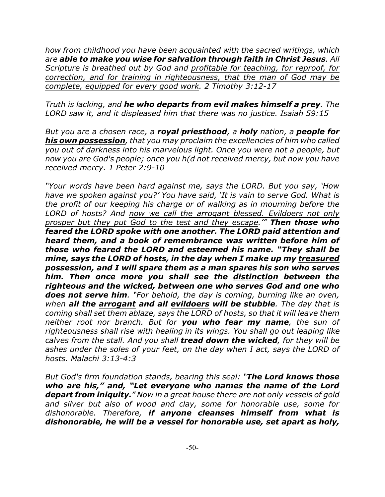*how from childhood you have been acquainted with the sacred writings, which are able to make you wise for salvation through faith in Christ Jesus. All Scripture is breathed out by God and profitable for teaching, for reproof, for correction, and for training in righteousness, that the man of God may be complete, equipped for every good work. 2 Timothy 3:12-17*

*Truth is lacking, and he who departs from evil makes himself a prey. The LORD saw it, and it displeased him that there was no justice. Isaiah 59:15*

*But you are a chosen race, a royal priesthood, a holy nation, a people for his own possession, that you may proclaim the excellencies of him who called you out of darkness into his marvelous light. Once you were not a people, but now you are God's people; once you h(d not received mercy, but now you have received mercy. 1 Peter 2:9-10* 

*"Your words have been hard against me, says the LORD. But you say, 'How have we spoken against you?' You have said, 'It is vain to serve God. What is the profit of our keeping his charge or of walking as in mourning before the LORD of hosts? And now we call the arrogant blessed. Evildoers not only prosper but they put God to the test and they escape.'" Then those who feared the LORD spoke with one another. The LORD paid attention and heard them, and a book of remembrance was written before him of those who feared the LORD and esteemed his name. "They shall be mine, says the LORD of hosts, in the day when I make up my treasured possession, and I will spare them as a man spares his son who serves him. Then once more you shall see the distinction between the righteous and the wicked, between one who serves God and one who does not serve him. "For behold, the day is coming, burning like an oven, when all the arrogant and all evildoers will be stubble. The day that is coming shall set them ablaze, says the LORD of hosts, so that it will leave them neither root nor branch. But for you who fear my name, the sun of righteousness shall rise with healing in its wings. You shall go out leaping like calves from the stall. And you shall tread down the wicked, for they will be ashes under the soles of your feet, on the day when I act, says the LORD of hosts. Malachi 3:13-4:3*

*But God's firm foundation stands, bearing this seal: "The Lord knows those who are his," and, "Let everyone who names the name of the Lord depart from iniquity." Now in a great house there are not only vessels of gold and silver but also of wood and clay, some for honorable use, some for dishonorable. Therefore, if anyone cleanses himself from what is dishonorable, he will be a vessel for honorable use, set apart as holy,*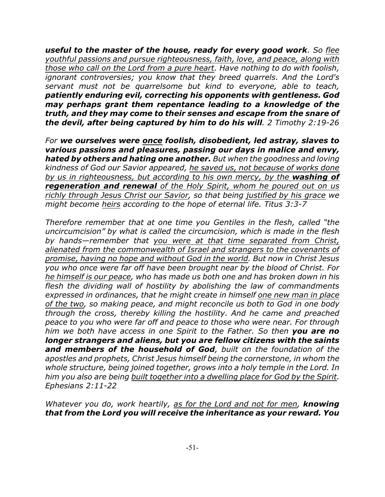*useful to the master of the house, ready for every good work. So flee youthful passions and pursue righteousness, faith, love, and peace, along with those who call on the Lord from a pure heart. Have nothing to do with foolish, ignorant controversies; you know that they breed quarrels. And the Lord's servant must not be quarrelsome but kind to everyone, able to teach, patiently enduring evil, correcting his opponents with gentleness. God may perhaps grant them repentance leading to a knowledge of the truth, and they may come to their senses and escape from the snare of the devil, after being captured by him to do his will. 2 Timothy 2:19-26*

*For we ourselves were once foolish, disobedient, led astray, slaves to various passions and pleasures, passing our days in malice and envy, hated by others and hating one another. But when the goodness and loving kindness of God our Savior appeared, he saved us, not because of works done by us in righteousness, but according to his own mercy, by the washing of regeneration and renewal of the Holy Spirit, whom he poured out on us richly through Jesus Christ our Savior, so that being justified by his grace we might become heirs according to the hope of eternal life. Titus 3:3-7*

*Therefore remember that at one time you Gentiles in the flesh, called "the uncircumcision" by what is called the circumcision, which is made in the flesh by hands—remember that you were at that time separated from Christ, alienated from the commonwealth of Israel and strangers to the covenants of promise, having no hope and without God in the world. But now in Christ Jesus you who once were far off have been brought near by the blood of Christ. For he himself is our peace, who has made us both one and has broken down in his flesh the dividing wall of hostility by abolishing the law of commandments expressed in ordinances, that he might create in himself one new man in place of the two, so making peace, and might reconcile us both to God in one body through the cross, thereby killing the hostility. And he came and preached peace to you who were far off and peace to those who were near. For through him we both have access in one Spirit to the Father. So then you are no longer strangers and aliens, but you are fellow citizens with the saints and members of the household of God, built on the foundation of the apostles and prophets, Christ Jesus himself being the cornerstone, in whom the whole structure, being joined together, grows into a holy temple in the Lord. In him you also are being built together into a dwelling place for God by the Spirit. Ephesians 2:11-22*

*Whatever you do, work heartily, as for the Lord and not for men, knowing that from the Lord you will receive the inheritance as your reward. You*